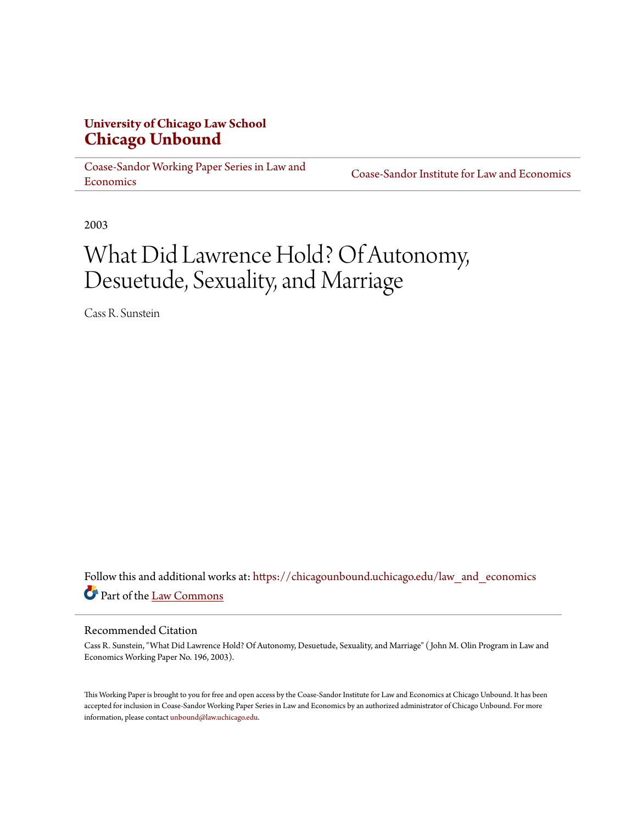# **University of Chicago Law School [Chicago Unbound](https://chicagounbound.uchicago.edu?utm_source=chicagounbound.uchicago.edu%2Flaw_and_economics%2F615&utm_medium=PDF&utm_campaign=PDFCoverPages)**

[Coase-Sandor Working Paper Series in Law and](https://chicagounbound.uchicago.edu/law_and_economics?utm_source=chicagounbound.uchicago.edu%2Flaw_and_economics%2F615&utm_medium=PDF&utm_campaign=PDFCoverPages) [Economics](https://chicagounbound.uchicago.edu/law_and_economics?utm_source=chicagounbound.uchicago.edu%2Flaw_and_economics%2F615&utm_medium=PDF&utm_campaign=PDFCoverPages)

[Coase-Sandor Institute for Law and Economics](https://chicagounbound.uchicago.edu/coase_sandor_institute?utm_source=chicagounbound.uchicago.edu%2Flaw_and_economics%2F615&utm_medium=PDF&utm_campaign=PDFCoverPages)

2003

# What Did Lawrence Hold? Of Autonomy, Desuetude, Sexuality, and Marriage

Cass R. Sunstein

Follow this and additional works at: [https://chicagounbound.uchicago.edu/law\\_and\\_economics](https://chicagounbound.uchicago.edu/law_and_economics?utm_source=chicagounbound.uchicago.edu%2Flaw_and_economics%2F615&utm_medium=PDF&utm_campaign=PDFCoverPages) Part of the [Law Commons](http://network.bepress.com/hgg/discipline/578?utm_source=chicagounbound.uchicago.edu%2Flaw_and_economics%2F615&utm_medium=PDF&utm_campaign=PDFCoverPages)

#### Recommended Citation

Cass R. Sunstein, "What Did Lawrence Hold? Of Autonomy, Desuetude, Sexuality, and Marriage" ( John M. Olin Program in Law and Economics Working Paper No. 196, 2003).

This Working Paper is brought to you for free and open access by the Coase-Sandor Institute for Law and Economics at Chicago Unbound. It has been accepted for inclusion in Coase-Sandor Working Paper Series in Law and Economics by an authorized administrator of Chicago Unbound. For more information, please contact [unbound@law.uchicago.edu.](mailto:unbound@law.uchicago.edu)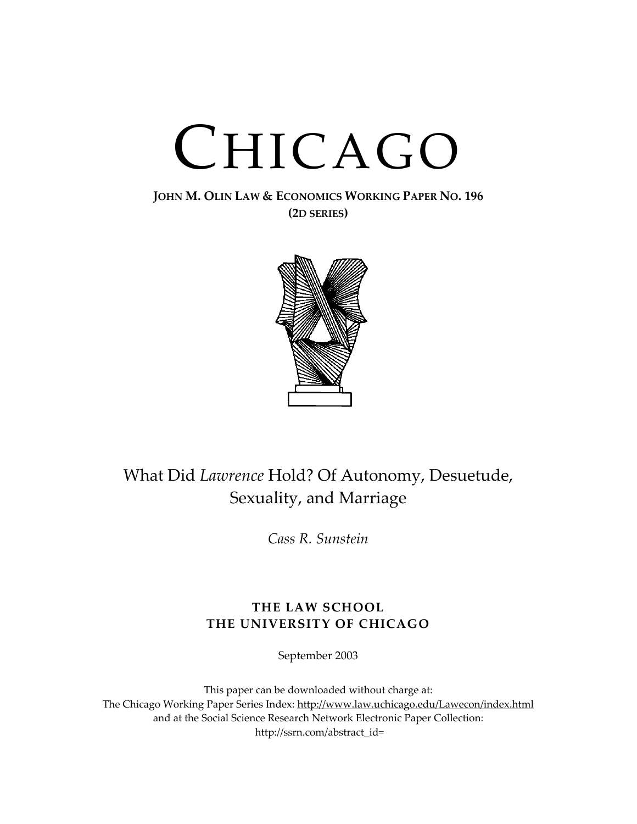# CHICAGO

### **JOHN M. OLIN LAW & ECONOMICS WORKING PAPER NO. 196 (2D SERIES)**



# What Did *Lawrence* Hold? Of Autonomy, Desuetude, Sexuality, and Marriage

*Cass R. Sunstein*

## **THE LAW SCHOOL THE UNIVERSITY OF CHICAGO**

September 2003

This paper can be downloaded without charge at: The Chicago Working Paper Series Index: [http://www.law.uchicago.edu/Lawecon/index.html](http://www.law.uchicago.edu/Publications/Working/index.html) and at the Social Science Research Network Electronic Paper Collection: [http://ssrn.com/abstract\\_id=](http://papers.ssrn.com/sol3/search.taf)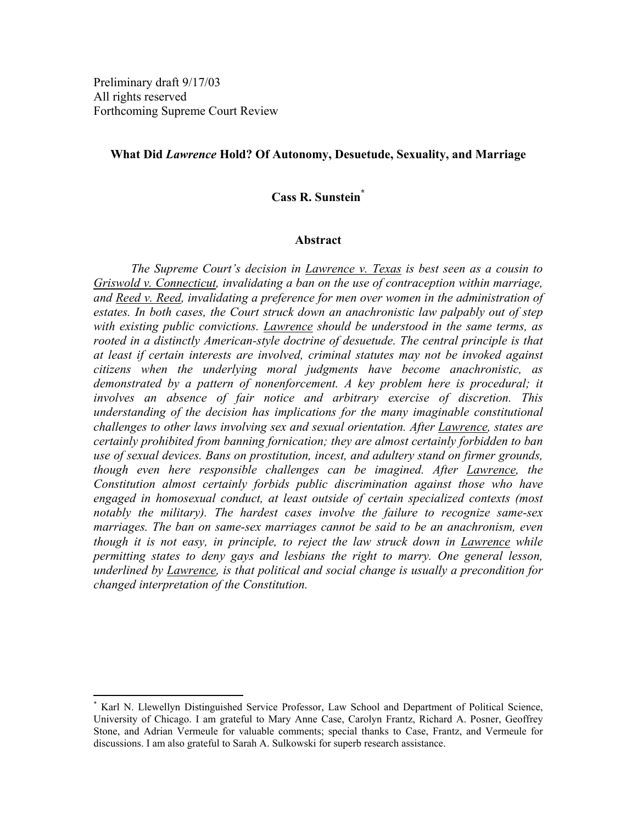1

#### **What Did** *Lawrence* **Hold? Of Autonomy, Desuetude, Sexuality, and Marriage**

#### **Cass R. Sunstei[n\\*](#page-2-0)**

#### **Abstract**

*The Supreme Court's decision in Lawrence v. Texas is best seen as a cousin to Griswold v. Connecticut, invalidating a ban on the use of contraception within marriage, and Reed v. Reed, invalidating a preference for men over women in the administration of estates. In both cases, the Court struck down an anachronistic law palpably out of step with existing public convictions. Lawrence should be understood in the same terms, as*  rooted in a distinctly American-style doctrine of desuetude. The central principle is that *at least if certain interests are involved, criminal statutes may not be invoked against citizens when the underlying moral judgments have become anachronistic, as*  demonstrated by a pattern of nonenforcement. A key problem here is procedural; it *involves an absence of fair notice and arbitrary exercise of discretion. This understanding of the decision has implications for the many imaginable constitutional challenges to other laws involving sex and sexual orientation. After Lawrence, states are certainly prohibited from banning fornication; they are almost certainly forbidden to ban use of sexual devices. Bans on prostitution, incest, and adultery stand on firmer grounds, though even here responsible challenges can be imagined. After Lawrence, the Constitution almost certainly forbids public discrimination against those who have engaged in homosexual conduct, at least outside of certain specialized contexts (most notably the military). The hardest cases involve the failure to recognize same-sex marriages. The ban on same-sex marriages cannot be said to be an anachronism, even though it is not easy, in principle, to reject the law struck down in Lawrence while permitting states to deny gays and lesbians the right to marry. One general lesson, underlined by Lawrence, is that political and social change is usually a precondition for changed interpretation of the Constitution.* 

<span id="page-2-0"></span><sup>\*</sup> Karl N. Llewellyn Distinguished Service Professor, Law School and Department of Political Science, University of Chicago. I am grateful to Mary Anne Case, Carolyn Frantz, Richard A. Posner, Geoffrey Stone, and Adrian Vermeule for valuable comments; special thanks to Case, Frantz, and Vermeule for discussions. I am also grateful to Sarah A. Sulkowski for superb research assistance.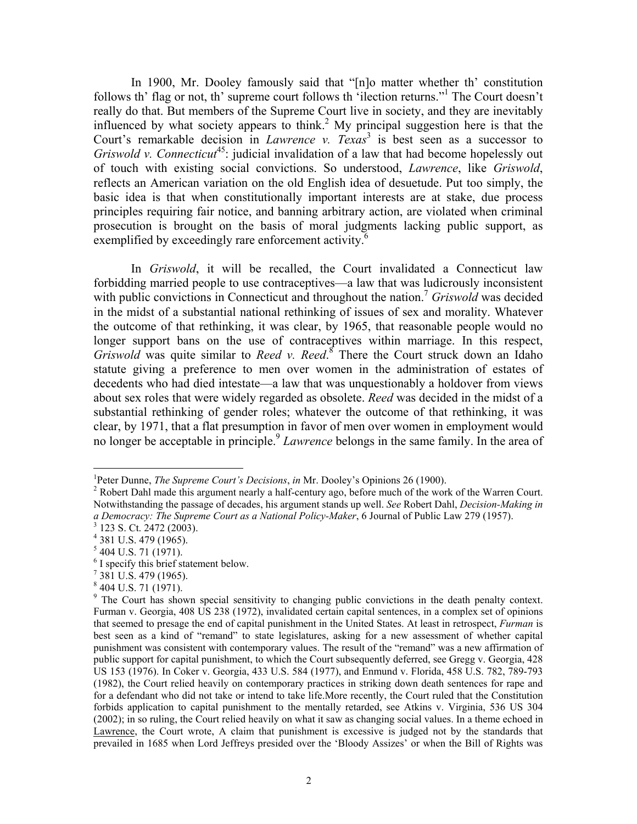<span id="page-3-8"></span>In 1900, Mr. Dooley famously said that "[n]o matter whether th' constitution follows th' flag or not, th' supreme court follows th 'ilection returns."<sup>[1](#page-3-0)</sup> The Court doesn't really do that. But members of the Supreme Court live in society, and they are inevitably influenced by what society appears to think.<sup>[2](#page-3-1)</sup> My principal suggestion here is that the Court's remarkable decision in *Lawrence v. Texas*<sup>[3](#page-3-2)</sup> is best seen as a successor to *Griswold v. Connecticut*<sup>[4](#page-3-3)5</sup>: judicial invalidation of a law that had become hopelessly out of touch with existing social convictions. So understood, *Lawrence*, like *Griswold*, reflects an American variation on the old English idea of desuetude. Put too simply, the basic idea is that when constitutionally important interests are at stake, due process principles requiring fair notice, and banning arbitrary action, are violated when criminal prosecution is brought on the basis of moral judgments lacking public support, as exemplified by exceedingly rare enforcement activity.<sup>6</sup>

In *Griswold*, it will be recalled, the Court invalidated a Connecticut law forbidding married people to use contraceptives—a law that was ludicrously inconsistent with public convictions in Connecticut and throughout the nation.<sup>[7](#page-3-6)</sup> *Griswold* was decided in the midst of a substantial national rethinking of issues of sex and morality. Whatever the outcome of that rethinking, it was clear, by 1965, that reasonable people would no longer support bans on the use of contraceptives within marriage. In this respect, *Griswold* was quite similar to *Reed v. Reed*. [8](#page-3-7) There the Court struck down an Idaho statute giving a preference to men over women in the administration of estates of decedents who had died intestate—a law that was unquestionably a holdover from views about sex roles that were widely regarded as obsolete. *Reed* was decided in the midst of a substantial rethinking of gender roles; whatever the outcome of that rethinking, it was clear, by 1971, that a flat presumption in favor of men over women in employment would no longer be acceptable in principle.<sup>9</sup> *Lawrence* belongs in the same family. In the area of

 $\overline{a}$ 

<span id="page-3-7"></span>8 404 U.S. 71 (1971).

<span id="page-3-0"></span><sup>&</sup>lt;sup>1</sup>Peter Dunne, *The Supreme Court's Decisions*, *in* Mr. Dooley's Opinions 26 (1900).

<span id="page-3-1"></span><sup>&</sup>lt;sup>2</sup> Robert Dahl made this argument nearly a half-century ago, before much of the work of the Warren Court. Notwithstanding the passage of decades, his argument stands up well. *See* Robert Dahl, *Decision-Making in a Democracy: The Supreme Court as a National Policy-Maker*, 6 Journal of Public Law 279 (1957).

<span id="page-3-2"></span><sup>123</sup> S. Ct. 2472 (2003).

<span id="page-3-3"></span> $4\overline{381}$  U.S. 479 (1965).

<span id="page-3-4"></span><sup>5</sup> 404 U.S. 71 (1971).

<span id="page-3-5"></span><sup>&</sup>lt;sup>6</sup> I specify this brief statement below.<br> $\frac{7281 \text{ H}}{2}$   $\frac{156}{2}$   $\frac{470}{2}$  (1065)

<span id="page-3-6"></span> $7\,381$  U.S. 479 (1965).

<sup>&</sup>lt;sup>9</sup> The Court has shown special sensitivity to changing public convictions in the death penalty context. Furman v. Georgia, 408 US 238 (1972), invalidated certain capital sentences, in a complex set of opinions that seemed to presage the end of capital punishment in the United States. At least in retrospect, *Furman* is best seen as a kind of "remand" to state legislatures, asking for a new assessment of whether capital punishment was consistent with contemporary values. The result of the "remand" was a new affirmation of public support for capital punishment, to which the Court subsequently deferred, see Gregg v. Georgia, 428 US 153 (1976). In Coker v. Georgia, 433 U.S. 584 (1977), and Enmund v. Florida, 458 U.S. 782, 789-793 (1982), the Court relied heavily on contemporary practices in striking down death sentences for rape and for a defendant who did not take or intend to take life.More recently, the Court ruled that the Constitution forbids application to capital punishment to the mentally retarded, see Atkins v. Virginia, 536 US 304 (2002); in so ruling, the Court relied heavily on what it saw as changing social values. In a theme echoed in Lawrence, the Court wrote, A claim that punishment is excessive is judged not by the standards that prevailed in 1685 when Lord Jeffreys presided over the 'Bloody Assizes' or when the Bill of Rights was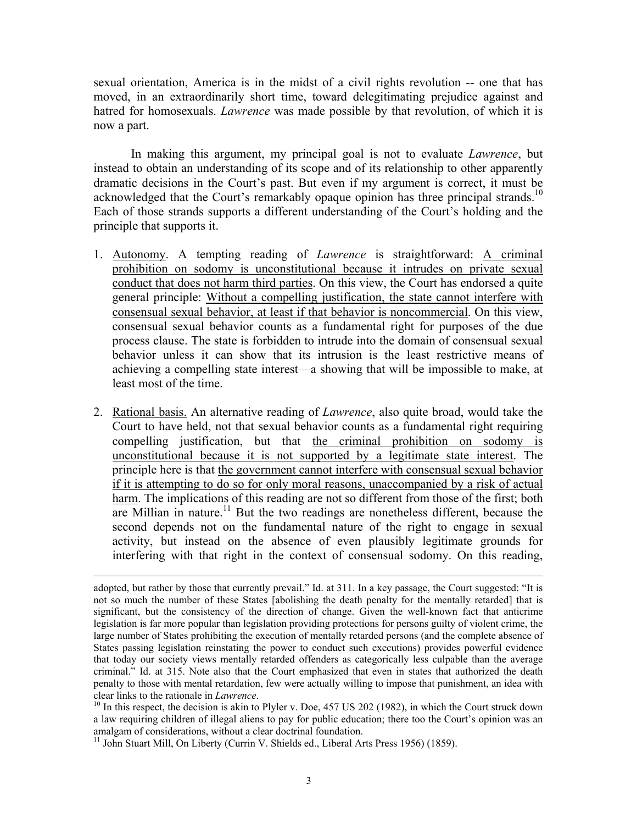sexual orientation, America is in the midst of a civil rights revolution -- one that has moved, in an extraordinarily short time, toward delegitimating prejudice against and hatred for homosexuals. *Lawrence* was made possible by that revolution, of which it is now a part.

In making this argument, my principal goal is not to evaluate *Lawrence*, but instead to obtain an understanding of its scope and of its relationship to other apparently dramatic decisions in the Court's past. But even if my argument is correct, it must be acknowledged that the Court's remarkably opaque opinion has three principal strands.<sup>10</sup> Each of those strands supports a different understanding of the Court's holding and the principle that supports it.

- 1. Autonomy. A tempting reading of *Lawrence* is straightforward: A criminal prohibition on sodomy is unconstitutional because it intrudes on private sexual conduct that does not harm third parties. On this view, the Court has endorsed a quite general principle: Without a compelling justification, the state cannot interfere with consensual sexual behavior, at least if that behavior is noncommercial. On this view, consensual sexual behavior counts as a fundamental right for purposes of the due process clause. The state is forbidden to intrude into the domain of consensual sexual behavior unless it can show that its intrusion is the least restrictive means of achieving a compelling state interest—a showing that will be impossible to make, at least most of the time.
- 2. Rational basis. An alternative reading of *Lawrence*, also quite broad, would take the Court to have held, not that sexual behavior counts as a fundamental right requiring compelling justification, but that the criminal prohibition on sodomy is unconstitutional because it is not supported by a legitimate state interest. The principle here is that the government cannot interfere with consensual sexual behavior if it is attempting to do so for only moral reasons, unaccompanied by a risk of actual harm. The implications of this reading are not so different from those of the first; both are Millian in nature.<sup>11</sup> But the two readings are nonetheless different, because the second depends not on the fundamental nature of the right to engage in sexual activity, but instead on the absence of even plausibly legitimate grounds for interfering with that right in the context of consensual sodomy. On this reading,

adopted, but rather by those that currently prevail." Id. at 311. In a key passage, the Court suggested: "It is not so much the number of these States [abolishing the death penalty for the mentally retarded] that is significant, but the consistency of the direction of change. Given the well-known fact that anticrime legislation is far more popular than legislation providing protections for persons guilty of violent crime, the large number of States prohibiting the execution of mentally retarded persons (and the complete absence of States passing legislation reinstating the power to conduct such executions) provides powerful evidence that today our society views mentally retarded offenders as categorically less culpable than the average criminal." Id. at 315. Note also that the Court emphasized that even in states that authorized the death penalty to those with mental retardation, few were actually willing to impose that punishment, an idea with clear links to the rationale in *Lawrence*.<br><sup>10</sup> In this respect, the decision is akin to Plyler v. Doe, 457 US 202 (1982), in which the Court struck down

<span id="page-4-0"></span>a law requiring children of illegal aliens to pay for public education; there too the Court's opinion was an amalgam of considerations, without a clear doctrinal foundation.

<span id="page-4-1"></span><sup>&</sup>lt;sup>11</sup> John Stuart Mill, On Liberty (Currin V. Shields ed., Liberal Arts Press 1956) (1859).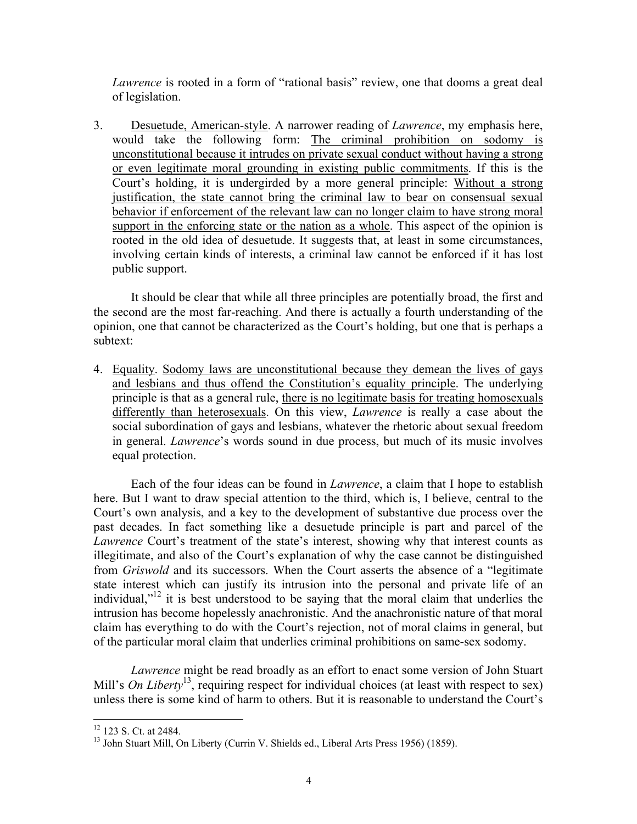*Lawrence* is rooted in a form of "rational basis" review, one that dooms a great deal of legislation.

3. Desuetude, American-style. A narrower reading of *Lawrence*, my emphasis here, would take the following form: The criminal prohibition on sodomy is unconstitutional because it intrudes on private sexual conduct without having a strong or even legitimate moral grounding in existing public commitments. If this is the Court's holding, it is undergirded by a more general principle: Without a strong justification, the state cannot bring the criminal law to bear on consensual sexual behavior if enforcement of the relevant law can no longer claim to have strong moral support in the enforcing state or the nation as a whole. This aspect of the opinion is rooted in the old idea of desuetude. It suggests that, at least in some circumstances, involving certain kinds of interests, a criminal law cannot be enforced if it has lost public support.

It should be clear that while all three principles are potentially broad, the first and the second are the most far-reaching. And there is actually a fourth understanding of the opinion, one that cannot be characterized as the Court's holding, but one that is perhaps a subtext:

4. Equality. Sodomy laws are unconstitutional because they demean the lives of gays and lesbians and thus offend the Constitution's equality principle. The underlying principle is that as a general rule, there is no legitimate basis for treating homosexuals differently than heterosexuals. On this view, *Lawrence* is really a case about the social subordination of gays and lesbians, whatever the rhetoric about sexual freedom in general. *Lawrence*'s words sound in due process, but much of its music involves equal protection.

Each of the four ideas can be found in *Lawrence*, a claim that I hope to establish here. But I want to draw special attention to the third, which is, I believe, central to the Court's own analysis, and a key to the development of substantive due process over the past decades. In fact something like a desuetude principle is part and parcel of the *Lawrence* Court's treatment of the state's interest, showing why that interest counts as illegitimate, and also of the Court's explanation of why the case cannot be distinguished from *Griswold* and its successors. When the Court asserts the absence of a "legitimate state interest which can justify its intrusion into the personal and private life of an individual,"[12](#page-5-0) it is best understood to be saying that the moral claim that underlies the intrusion has become hopelessly anachronistic. And the anachronistic nature of that moral claim has everything to do with the Court's rejection, not of moral claims in general, but of the particular moral claim that underlies criminal prohibitions on same-sex sodomy.

*Lawrence* might be read broadly as an effort to enact some version of John Stuart Mill's *On Liberty*<sup>13</sup>, requiring respect for individual choices (at least with respect to sex) unless there is some kind of harm to others. But it is reasonable to understand the Court's

<span id="page-5-0"></span><sup>&</sup>lt;sup>12</sup> 123 S. Ct. at 2484.

<span id="page-5-1"></span><sup>&</sup>lt;sup>13</sup> John Stuart Mill, On Liberty (Currin V. Shields ed., Liberal Arts Press 1956) (1859).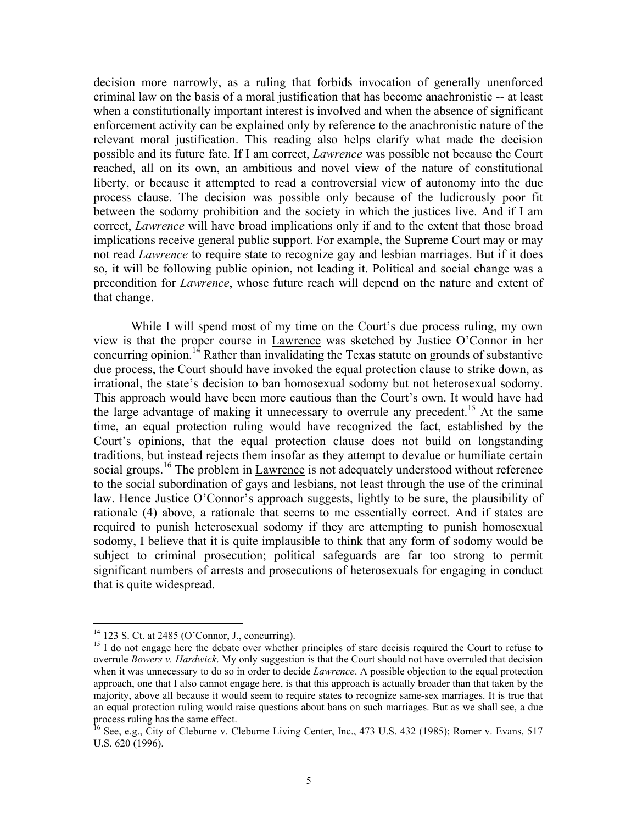decision more narrowly, as a ruling that forbids invocation of generally unenforced criminal law on the basis of a moral justification that has become anachronistic -- at least when a constitutionally important interest is involved and when the absence of significant enforcement activity can be explained only by reference to the anachronistic nature of the relevant moral justification. This reading also helps clarify what made the decision possible and its future fate. If I am correct, *Lawrence* was possible not because the Court reached, all on its own, an ambitious and novel view of the nature of constitutional liberty, or because it attempted to read a controversial view of autonomy into the due process clause. The decision was possible only because of the ludicrously poor fit between the sodomy prohibition and the society in which the justices live. And if I am correct, *Lawrence* will have broad implications only if and to the extent that those broad implications receive general public support. For example, the Supreme Court may or may not read *Lawrence* to require state to recognize gay and lesbian marriages. But if it does so, it will be following public opinion, not leading it. Political and social change was a precondition for *Lawrence*, whose future reach will depend on the nature and extent of that change.

While I will spend most of my time on the Court's due process ruling, my own view is that the proper course in Lawrence was sketched by Justice O'Connor in her concurring opinion.<sup>14</sup> Rather than invalidating the Texas statute on grounds of substantive due process, the Court should have invoked the equal protection clause to strike down, as irrational, the state's decision to ban homosexual sodomy but not heterosexual sodomy. This approach would have been more cautious than the Court's own. It would have had the large advantage of making it unnecessary to overrule any precedent.<sup>15</sup> At the same time, an equal protection ruling would have recognized the fact, established by the Court's opinions, that the equal protection clause does not build on longstanding traditions, but instead rejects them insofar as they attempt to devalue or humiliate certain social groups.<sup>16</sup> The problem in Lawrence is not adequately understood without reference to the social subordination of gays and lesbians, not least through the use of the criminal law. Hence Justice O'Connor's approach suggests, lightly to be sure, the plausibility of rationale (4) above, a rationale that seems to me essentially correct. And if states are required to punish heterosexual sodomy if they are attempting to punish homosexual sodomy, I believe that it is quite implausible to think that any form of sodomy would be subject to criminal prosecution; political safeguards are far too strong to permit significant numbers of arrests and prosecutions of heterosexuals for engaging in conduct that is quite widespread.

<span id="page-6-1"></span><span id="page-6-0"></span>

<sup>&</sup>lt;sup>14</sup> 123 S. Ct. at 2485 (O'Connor, J., concurring).<br><sup>15</sup> I do not engage here the debate over whether principles of stare decisis required the Court to refuse to overrule *Bowers v. Hardwick*. My only suggestion is that the Court should not have overruled that decision when it was unnecessary to do so in order to decide *Lawrence*. A possible objection to the equal protection approach, one that I also cannot engage here, is that this approach is actually broader than that taken by the majority, above all because it would seem to require states to recognize same-sex marriages. It is true that an equal protection ruling would raise questions about bans on such marriages. But as we shall see, a due

<span id="page-6-2"></span> $\frac{16}{16}$  See, e.g., City of Cleburne v. Cleburne Living Center, Inc., 473 U.S. 432 (1985); Romer v. Evans, 517 U.S. 620 (1996).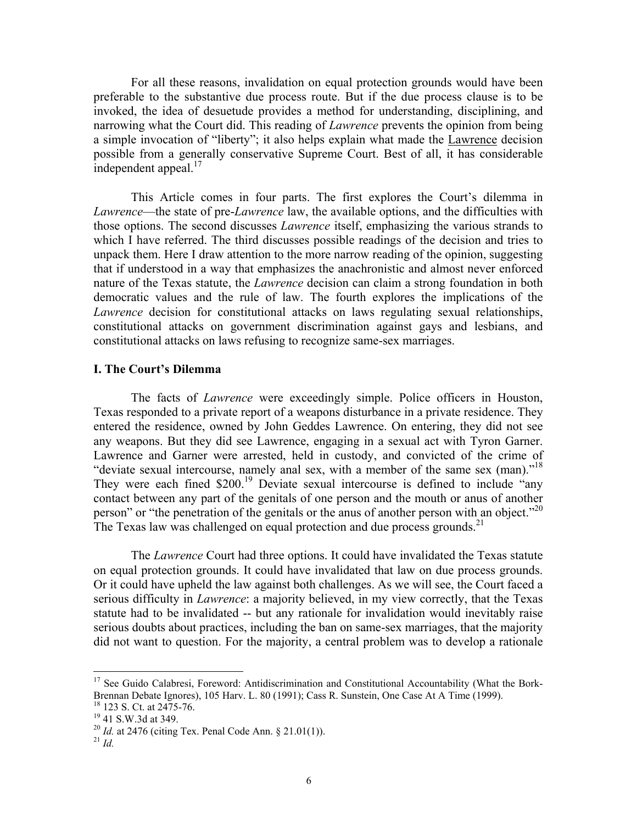For all these reasons, invalidation on equal protection grounds would have been preferable to the substantive due process route. But if the due process clause is to be invoked, the idea of desuetude provides a method for understanding, disciplining, and narrowing what the Court did. This reading of *Lawrence* prevents the opinion from being a simple invocation of "liberty"; it also helps explain what made the Lawrence decision possible from a generally conservative Supreme Court. Best of all, it has considerable independent appeal. $^{17}$ 

This Article comes in four parts. The first explores the Court's dilemma in *Lawrence*—the state of pre-*Lawrence* law, the available options, and the difficulties with those options. The second discusses *Lawrence* itself, emphasizing the various strands to which I have referred. The third discusses possible readings of the decision and tries to unpack them. Here I draw attention to the more narrow reading of the opinion, suggesting that if understood in a way that emphasizes the anachronistic and almost never enforced nature of the Texas statute, the *Lawrence* decision can claim a strong foundation in both democratic values and the rule of law. The fourth explores the implications of the *Lawrence* decision for constitutional attacks on laws regulating sexual relationships, constitutional attacks on government discrimination against gays and lesbians, and constitutional attacks on laws refusing to recognize same-sex marriages.

#### **I. The Court's Dilemma**

The facts of *Lawrence* were exceedingly simple. Police officers in Houston, Texas responded to a private report of a weapons disturbance in a private residence. They entered the residence, owned by John Geddes Lawrence. On entering, they did not see any weapons. But they did see Lawrence, engaging in a sexual act with Tyron Garner. Lawrence and Garner were arrested, held in custody, and convicted of the crime of "deviate sexual intercourse, namely anal sex, with a member of the same sex (man)."<sup>18</sup> They were each fined  $$200<sup>19</sup>$  Deviate sexual intercourse is defined to include "any contact between any part of the genitals of one person and the mouth or anus of another person" or "the penetration of the genitals or the anus of another person with an object."<sup>[20](#page-7-3)</sup> The Texas law was challenged on equal protection and due process grounds.<sup>[21](#page-7-4)</sup>

 The *Lawrence* Court had three options. It could have invalidated the Texas statute on equal protection grounds. It could have invalidated that law on due process grounds. Or it could have upheld the law against both challenges. As we will see, the Court faced a serious difficulty in *Lawrence*: a majority believed, in my view correctly, that the Texas statute had to be invalidated -- but any rationale for invalidation would inevitably raise serious doubts about practices, including the ban on same-sex marriages, that the majority did not want to question. For the majority, a central problem was to develop a rationale

<span id="page-7-0"></span><sup>&</sup>lt;sup>17</sup> See Guido Calabresi, Foreword: Antidiscrimination and Constitutional Accountability (What the Bork-Brennan Debate Ignores), 105 Harv. L. 80 (1991); Cass R. Sunstein, One Case At A Time (1999).<br><sup>18</sup> 123 S. Ct. at 2475-76.<br><sup>19</sup> 41 S.W.3d at 349.<br><sup>20</sup> *Id.* at 2476 (citing Tex. Penal Code Ann. § 21.01(1)).<br><sup>21</sup> *Id.* 

<span id="page-7-1"></span>

<span id="page-7-2"></span>

<span id="page-7-3"></span>

<span id="page-7-4"></span>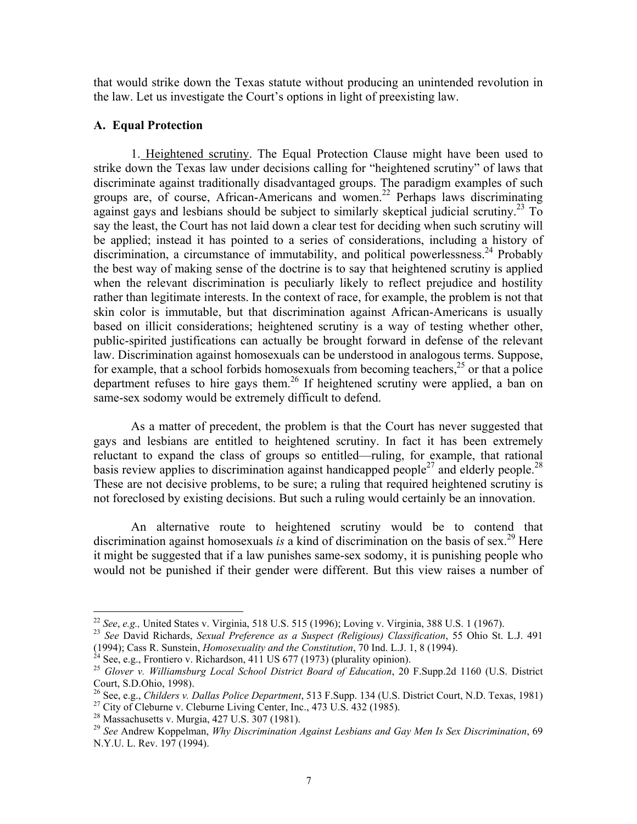that would strike down the Texas statute without producing an unintended revolution in the law. Let us investigate the Court's options in light of preexisting law.

#### **A. Equal Protection**

1. Heightened scrutiny. The Equal Protection Clause might have been used to strike down the Texas law under decisions calling for "heightened scrutiny" of laws that discriminate against traditionally disadvantaged groups. The paradigm examples of such groups are, of course, African-Americans and women.<sup>22</sup> Perhaps laws discriminating against gays and lesbians should be subject to similarly skeptical judicial scrutiny.<sup>23</sup> To say the least, the Court has not laid down a clear test for deciding when such scrutiny will be applied; instead it has pointed to a series of considerations, including a history of discrimination, a circumstance of immutability, and political powerlessness.<sup>24</sup> Probably the best way of making sense of the doctrine is to say that heightened scrutiny is applied when the relevant discrimination is peculiarly likely to reflect prejudice and hostility rather than legitimate interests. In the context of race, for example, the problem is not that skin color is immutable, but that discrimination against African-Americans is usually based on illicit considerations; heightened scrutiny is a way of testing whether other, public-spirited justifications can actually be brought forward in defense of the relevant law. Discrimination against homosexuals can be understood in analogous terms. Suppose, for example, that a school forbids homosexuals from becoming teachers,  $25$  or that a police department refuses to hire gays them. [26](#page-8-4) If heightened scrutiny were applied, a ban on same-sex sodomy would be extremely difficult to defend.

As a matter of precedent, the problem is that the Court has never suggested that gays and lesbians are entitled to heightened scrutiny. In fact it has been extremely reluctant to expand the class of groups so entitled—ruling, for example, that rational basis review applies to discrimination against handicapped people<sup>27</sup> and elderly people.<sup>28</sup> These are not decisive problems, to be sure; a ruling that required heightened scrutiny is not foreclosed by existing decisions. But such a ruling would certainly be an innovation.

An alternative route to heightened scrutiny would be to contend that discrimination against homosexuals *is* a kind of discrimination on the basis of sex.<sup>29</sup> Here it might be suggested that if a law punishes same-sex sodomy, it is punishing people who would not be punished if their gender were different. But this view raises a number of

1

<span id="page-8-1"></span><span id="page-8-0"></span>

<sup>&</sup>lt;sup>22</sup> See, e.g., United States v. Virginia, 518 U.S. 515 (1996); Loving v. Virginia, 388 U.S. 1 (1967).<br><sup>23</sup> See David Richards, Sexual Preference as a Suspect (Religious) Classification, 55 Ohio St. L.J. 491 (1994); Cass R. Sunstein, *Homosexuality and the Constitution*, 70 Ind. L.J. 1, 8 (1994).<br><sup>24</sup> See, e.g., Frontiero v. Richardson, 411 US 677 (1973) (plurality opinion).<br><sup>25</sup> Glover v. Williamsburg Local School District B

<span id="page-8-2"></span>

<span id="page-8-3"></span>Court, S.D.Ohio, 1998).<br><sup>26</sup> See, e.g., *Childers v. Dallas Police Department*, 513 F.Supp. 134 (U.S. District Court, N.D. Texas, 1981)<br><sup>27</sup> City of Cleburne v. Cleburne Living Center, Inc., 473 U.S. 432 (1985).<br><sup>28</sup> Massa

<span id="page-8-4"></span>

<span id="page-8-5"></span>

<span id="page-8-6"></span>

<span id="page-8-7"></span>N.Y.U. L. Rev. 197 (1994).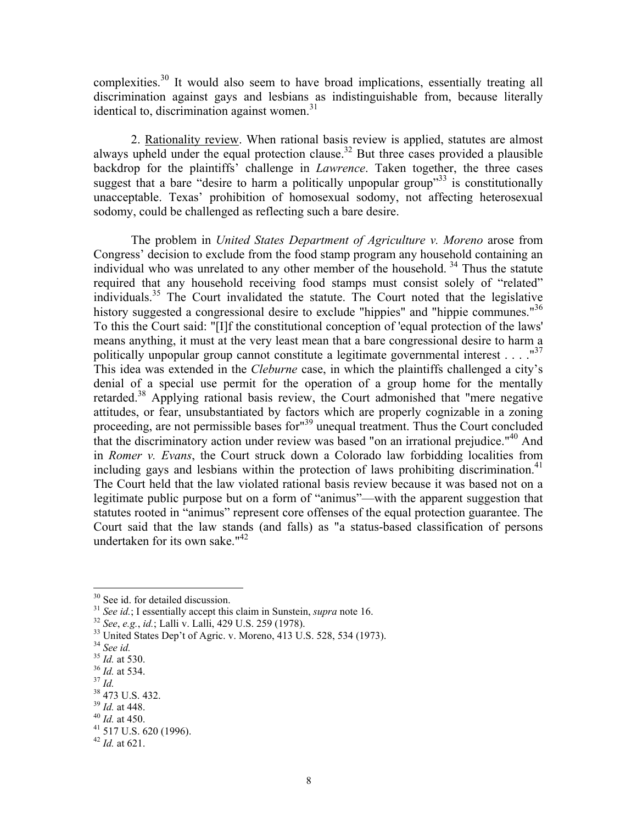complexities.<sup>30</sup> It would also seem to have broad implications, essentially treating all discrimination against gays and lesbians as indistinguishable from, because literally identical to, discrimination against women.<sup>[31](#page-9-1)</sup>

2. Rationality review. When rational basis review is applied, statutes are almost always upheld under the equal protection clause.<sup>32</sup> But three cases provided a plausible backdrop for the plaintiffs' challenge in *Lawrence*. Taken together, the three cases suggest that a bare "desire to harm a politically unpopular group"<sup>33</sup> is constitutionally unacceptable. Texas' prohibition of homosexual sodomy, not affecting heterosexual sodomy, could be challenged as reflecting such a bare desire.

The problem in *United States Department of Agriculture v. Moreno* arose from Congress' decision to exclude from the food stamp program any household containing an individual who was unrelated to any other member of the household.<sup>34</sup> Thus the statute required that any household receiving food stamps must consist solely of "related" individuals[.35](#page-9-5) The Court invalidated the statute. The Court noted that the legislative history suggested a congressional desire to exclude "hippies" and "hippie communes."<sup>[36](#page-9-6)</sup> To this the Court said: "[I]f the constitutional conception of 'equal protection of the laws' means anything, it must at the very least mean that a bare congressional desire to harm a politically unpopular group cannot constitute a legitimate governmental interest  $\dots$ ."<sup>[37](#page-9-7)</sup> This idea was extended in the *Cleburne* case, in which the plaintiffs challenged a city's denial of a special use permit for the operation of a group home for the mentally retarded.<sup>38</sup> Applying rational basis review, the Court admonished that "mere negative attitudes, or fear, unsubstantiated by factors which are properly cognizable in a zoning proceeding, are not permissible bases for<sup>139</sup> unequal treatment. Thus the Court concluded that the discriminatory action under review was based "on an irrational prejudice."<sup>40</sup> And in *Romer v. Evans*, the Court struck down a Colorado law forbidding localities from including gays and lesbians within the protection of laws prohibiting discrimination.<sup>[41](#page-9-11)</sup> The Court held that the law violated rational basis review because it was based not on a legitimate public purpose but on a form of "animus"—with the apparent suggestion that statutes rooted in "animus" represent core offenses of the equal protection guarantee. The Court said that the law stands (and falls) as "a status-based classification of persons undertaken for its own sake."<sup>[42](#page-9-12)</sup>

<span id="page-9-4"></span>

<span id="page-9-0"></span><sup>&</sup>lt;sup>30</sup> See id. for detailed discussion.

<span id="page-9-1"></span>

<span id="page-9-3"></span><span id="page-9-2"></span>

<sup>&</sup>lt;sup>31</sup> *See id.*; I essentially accept this claim in Sunstein, *supra* note 16.<br><sup>32</sup> *See*, *e.g.*, *id.*; Lalli v. Lalli, 429 U.S. 259 (1978).<br><sup>33</sup> United States Dep't of Agric. v. Moreno, 413 U.S. 528, 534 (1973).<br><sup>34</sup> *S* 

<span id="page-9-5"></span>

<span id="page-9-6"></span>

<span id="page-9-7"></span>

<span id="page-9-8"></span>

<span id="page-9-9"></span>

<span id="page-9-11"></span><span id="page-9-10"></span>

<sup>&</sup>lt;sup>40</sup> *Id.* at 450.<br><sup>41</sup> 517 U.S. 620 (1996).

<span id="page-9-12"></span><sup>42</sup> *Id.* at 621.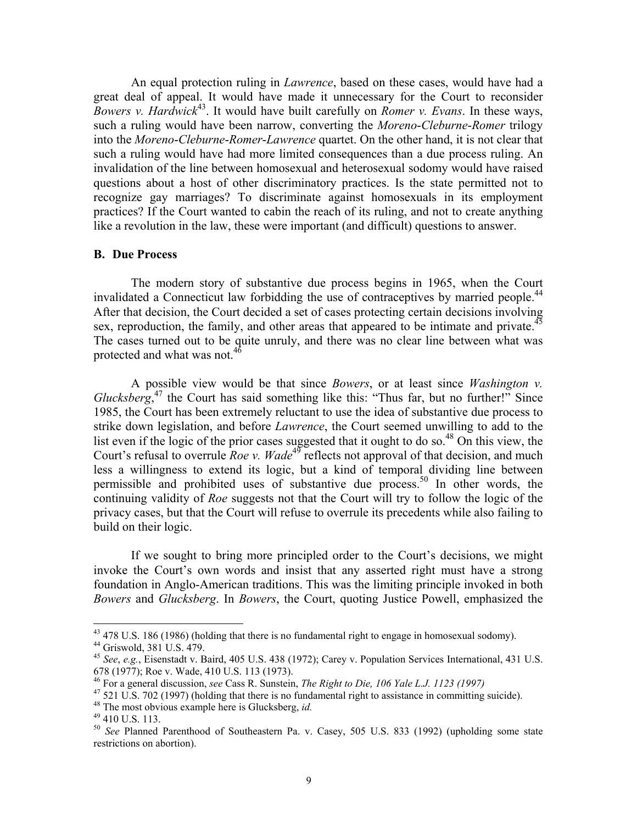An equal protection ruling in *Lawrence*, based on these cases, would have had a great deal of appeal. It would have made it unnecessary for the Court to reconsider *Bowers v. Hardwick*[43.](#page-10-0) It would have built carefully on *Romer v. Evans*. In these ways, such a ruling would have been narrow, converting the *Moreno*-*Cleburne*-*Romer* trilogy into the *Moreno*-*Cleburne*-*Romer*-*Lawrence* quartet. On the other hand, it is not clear that such a ruling would have had more limited consequences than a due process ruling. An invalidation of the line between homosexual and heterosexual sodomy would have raised questions about a host of other discriminatory practices. Is the state permitted not to recognize gay marriages? To discriminate against homosexuals in its employment practices? If the Court wanted to cabin the reach of its ruling, and not to create anything like a revolution in the law, these were important (and difficult) questions to answer.

#### **B. Due Process**

The modern story of substantive due process begins in 1965, when the Court invalidated a Connecticut law forbidding the use of contraceptives by married people.<sup>44</sup> After that decision, the Court decided a set of cases protecting certain decisions involving sex, reproduction, the family, and other areas that appeared to be intimate and private. $45$ The cases turned out to be quite unruly, and there was no clear line between what was protected and what was not.<sup>46</sup>

A possible view would be that since *Bowers*, or at least since *Washington v. Glucksberg*<sup>47</sup>, the Court has said something like this: "Thus far, but no further!" Since 1985, the Court has been extremely reluctant to use the idea of substantive due process to strike down legislation, and before *Lawrence*, the Court seemed unwilling to add to the list even if the logic of the prior cases suggested that it ought to do so.<sup>48</sup> On this view, the Court's refusal to overrule *Roe v. Wade*<sup>49</sup> reflects not approval of that decision, and much less a willingness to extend its logic, but a kind of temporal dividing line between permissible and prohibited uses of substantive due process.[50](#page-10-7) In other words, the continuing validity of *Roe* suggests not that the Court will try to follow the logic of the privacy cases, but that the Court will refuse to overrule its precedents while also failing to build on their logic.

If we sought to bring more principled order to the Court's decisions, we might invoke the Court's own words and insist that any asserted right must have a strong foundation in Anglo-American traditions. This was the limiting principle invoked in both *Bowers* and *Glucksberg*. In *Bowers*, the Court, quoting Justice Powell, emphasized the

<span id="page-10-0"></span>

<span id="page-10-2"></span><span id="page-10-1"></span>

<sup>&</sup>lt;sup>43</sup> 478 U.S. 186 (1986) (holding that there is no fundamental right to engage in homosexual sodomy).<br><sup>44</sup> Griswold, 381 U.S. 479.<br><sup>45</sup> *See, e.g.*, Eisenstadt v. Baird, 405 U.S. 438 (1972); Carey v. Population Services I

<span id="page-10-4"></span><span id="page-10-3"></span>

<sup>&</sup>lt;sup>46</sup> For a general discussion, *see* Cass R. Sunstein, *The Right to Die, 106 Yale L.J. 1123 (1997)*<br><sup>47</sup> 521 U.S. 702 (1997) (holding that there is no fundamental right to assistance in committing suicide).<br><sup>48</sup> The most

<span id="page-10-5"></span>

<span id="page-10-6"></span>

<span id="page-10-7"></span><sup>50</sup> *See* Planned Parenthood of Southeastern Pa. v. Casey, 505 U.S. 833 (1992) (upholding some state restrictions on abortion).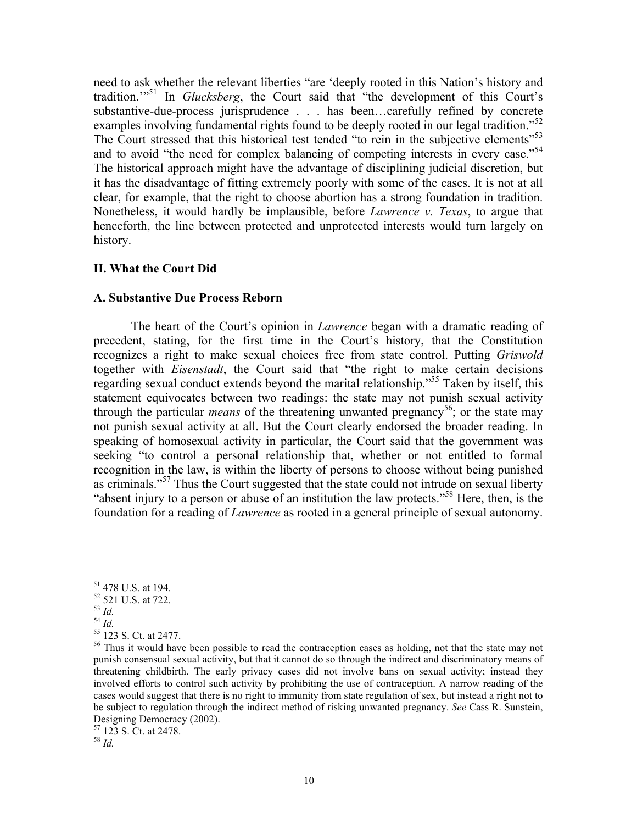need to ask whether the relevant liberties "are 'deeply rooted in this Nation's history and tradition.'["51](#page-11-0) In *Glucksberg*, the Court said that "the development of this Court's substantive-due-process jurisprudence . . . has been…carefully refined by concrete examples involving fundamental rights found to be deeply rooted in our legal tradition."<sup>[52](#page-11-1)</sup> The Court stressed that this historical test tended "to rein in the subjective elements"<sup>53</sup> and to avoid "the need for complex balancing of competing interests in every case."<sup>54</sup> The historical approach might have the advantage of disciplining judicial discretion, but it has the disadvantage of fitting extremely poorly with some of the cases. It is not at all clear, for example, that the right to choose abortion has a strong foundation in tradition. Nonetheless, it would hardly be implausible, before *Lawrence v. Texas*, to argue that henceforth, the line between protected and unprotected interests would turn largely on history.

#### **II. What the Court Did**

#### **A. Substantive Due Process Reborn**

The heart of the Court's opinion in *Lawrence* began with a dramatic reading of precedent, stating, for the first time in the Court's history, that the Constitution recognizes a right to make sexual choices free from state control. Putting *Griswold* together with *Eisenstadt*, the Court said that "the right to make certain decisions regarding sexual conduct extends beyond the marital relationship."<sup>55</sup> Taken by itself, this statement equivocates between two readings: the state may not punish sexual activity through the particular *means* of the threatening unwanted pregnancy<sup>56</sup>; or the state may not punish sexual activity at all. But the Court clearly endorsed the broader reading. In speaking of homosexual activity in particular, the Court said that the government was seeking "to control a personal relationship that, whether or not entitled to formal recognition in the law, is within the liberty of persons to choose without being punished as criminals."<sup>57</sup> Thus the Court suggested that the state could not intrude on sexual liberty "absent injury to a person or abuse of an institution the law protects."[58](#page-11-7) Here, then, is the foundation for a reading of *Lawrence* as rooted in a general principle of sexual autonomy.

<span id="page-11-2"></span>

<span id="page-11-6"></span>

<span id="page-11-7"></span>

<span id="page-11-0"></span><sup>&</sup>lt;sup>51</sup> 478 U.S. at 194.

<span id="page-11-1"></span>

<span id="page-11-3"></span>

<span id="page-11-5"></span><span id="page-11-4"></span>

<sup>52 521</sup> U.S. at 722.<br>
53 *Id.*<br>
54 *Id.*<br>
55 123 S. Ct. at 2477.<br>
<sup>56</sup> Thus it would have been possible to read the contraception cases as holding, not that the state may not punish consensual sexual activity, but that it cannot do so through the indirect and discriminatory means of threatening childbirth. The early privacy cases did not involve bans on sexual activity; instead they involved efforts to control such activity by prohibiting the use of contraception. A narrow reading of the cases would suggest that there is no right to immunity from state regulation of sex, but instead a right not to be subject to regulation through the indirect method of risking unwanted pregnancy. *See* Cass R. Sunstein, Designing Democracy (2002). 57 123 S. Ct. at 2478. 58 *Id.*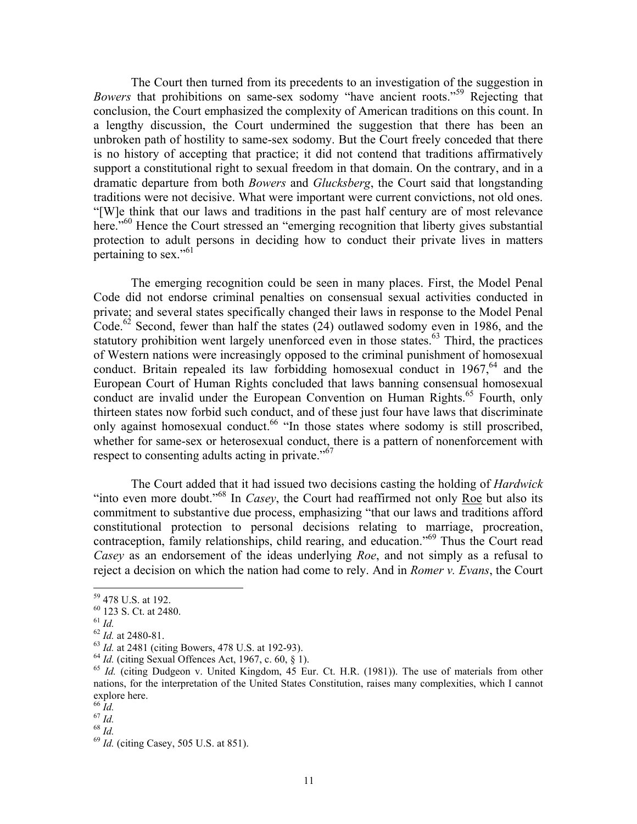The Court then turned from its precedents to an investigation of the suggestion in *Bowers* that prohibitions on same-sex sodomy "have ancient roots."<sup>59</sup> Rejecting that conclusion, the Court emphasized the complexity of American traditions on this count. In a lengthy discussion, the Court undermined the suggestion that there has been an unbroken path of hostility to same-sex sodomy. But the Court freely conceded that there is no history of accepting that practice; it did not contend that traditions affirmatively support a constitutional right to sexual freedom in that domain. On the contrary, and in a dramatic departure from both *Bowers* and *Glucksberg*, the Court said that longstanding traditions were not decisive. What were important were current convictions, not old ones. "[W]e think that our laws and traditions in the past half century are of most relevance here."<sup>60</sup> Hence the Court stressed an "emerging recognition that liberty gives substantial protection to adult persons in deciding how to conduct their private lives in matters pertaining to sex."<sup>[61](#page-12-2)</sup>

The emerging recognition could be seen in many places. First, the Model Penal Code did not endorse criminal penalties on consensual sexual activities conducted in private; and several states specifically changed their laws in response to the Model Penal Code.<sup>62</sup> Second, fewer than half the states (24) outlawed sodomy even in 1986, and the statutory prohibition went largely unenforced even in those states.<sup>63</sup> Third, the practices of Western nations were increasingly opposed to the criminal punishment of homosexual conduct. Britain repealed its law forbidding homosexual conduct in  $1967<sup>64</sup>$  and the European Court of Human Rights concluded that laws banning consensual homosexual conduct are invalid under the European Convention on Human Rights.<sup>65</sup> Fourth, only thirteen states now forbid such conduct, and of these just four have laws that discriminate only against homosexual conduct.<sup>66</sup> "In those states where sodomy is still proscribed, whether for same-sex or heterosexual conduct, there is a pattern of nonenforcement with respect to consenting adults acting in private."<sup>67</sup>

The Court added that it had issued two decisions casting the holding of *Hardwick* "into even more doubt."[68](#page-12-9) In *Casey*, the Court had reaffirmed not only Roe but also its commitment to substantive due process, emphasizing "that our laws and traditions afford constitutional protection to personal decisions relating to marriage, procreation, contraception, family relationships, child rearing, and education.<sup>"69</sup> Thus the Court read *Casey* as an endorsement of the ideas underlying *Roe*, and not simply as a refusal to reject a decision on which the nation had come to rely. And in *Romer v. Evans*, the Court

<span id="page-12-10"></span>

<span id="page-12-0"></span>

<span id="page-12-1"></span>

<span id="page-12-2"></span>

<span id="page-12-3"></span>

<span id="page-12-4"></span>

<span id="page-12-6"></span><span id="page-12-5"></span>

<sup>&</sup>lt;sup>59</sup> 478 U.S. at 192.<br>
<sup>60</sup> 123 S. Ct. at 2480.<br>
<sup>61</sup> *Id.*<br>
<sup>62</sup> *Id.* at 2480-81.<br>
<sup>63</sup> *Id.* at 2481 (citing Bowers, 478 U.S. at 192-93).<br>
<sup>64</sup> *Id.* (citing Sexual Offences Act, 1967, c. 60, § 1).<br>
<sup>65</sup> *Id.* (citing nations, for the interpretation of the United States Constitution, raises many complexities, which I cannot explore here.<br>  $^{66}$  *Id.*<br>  $^{67}$  *Id.* 

<span id="page-12-7"></span>

<span id="page-12-8"></span>

<span id="page-12-9"></span> $\frac{68}{68}$  *Id.* (citing Casey, 505 U.S. at 851).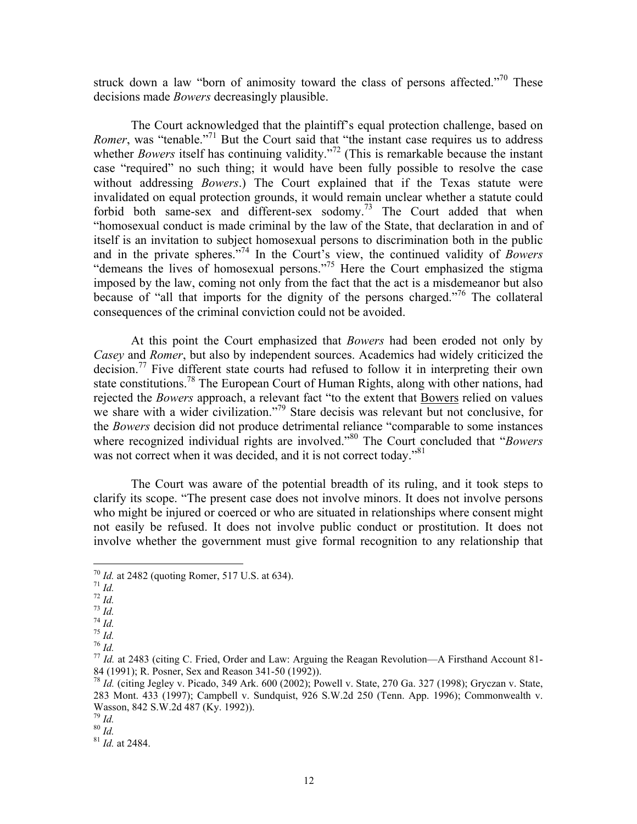struck down a law "born of animosity toward the class of persons affected."<sup>70</sup> These decisions made *Bowers* decreasingly plausible.

The Court acknowledged that the plaintiff's equal protection challenge, based on *Romer*, was "tenable."<sup>71</sup> But the Court said that "the instant case requires us to address whether *Bowers* itself has continuing validity."<sup>72</sup> (This is remarkable because the instant case "required" no such thing; it would have been fully possible to resolve the case without addressing *Bowers*.) The Court explained that if the Texas statute were invalidated on equal protection grounds, it would remain unclear whether a statute could forbid both same-sex and different-sex sodomy.<sup>73</sup> The Court added that when "homosexual conduct is made criminal by the law of the State, that declaration in and of itself is an invitation to subject homosexual persons to discrimination both in the public and in the private spheres."[74](#page-13-4) In the Court's view, the continued validity of *Bowers* "demeans the lives of homosexual persons."[75](#page-13-5) Here the Court emphasized the stigma imposed by the law, coming not only from the fact that the act is a misdemeanor but also because of "all that imports for the dignity of the persons charged."[76](#page-13-6) The collateral consequences of the criminal conviction could not be avoided.

At this point the Court emphasized that *Bowers* had been eroded not only by *Casey* and *Romer*, but also by independent sources. Academics had widely criticized the decision.<sup>77</sup> Five different state courts had refused to follow it in interpreting their own state constitutions.<sup>78</sup> The European Court of Human Rights, along with other nations, had rejected the *Bowers* approach, a relevant fact "to the extent that Bowers relied on values we share with a wider civilization."<sup>79</sup> Stare decisis was relevant but not conclusive, for the *Bowers* decision did not produce detrimental reliance "comparable to some instances where recognized individual rights are involved.["80](#page-13-10) The Court concluded that "*Bowers* was not correct when it was decided, and it is not correct today."<sup>81</sup>

The Court was aware of the potential breadth of its ruling, and it took steps to clarify its scope. "The present case does not involve minors. It does not involve persons who might be injured or coerced or who are situated in relationships where consent might not easily be refused. It does not involve public conduct or prostitution. It does not involve whether the government must give formal recognition to any relationship that

- <span id="page-13-1"></span>
- <span id="page-13-2"></span>
- <span id="page-13-4"></span><span id="page-13-3"></span>
- <span id="page-13-5"></span>

<span id="page-13-0"></span> $^{70}$  *Id.* at 2482 (quoting Romer, 517 U.S. at 634).

<span id="page-13-7"></span><span id="page-13-6"></span>

<sup>&</sup>lt;sup>71</sup> Id.<br>
<sup>72</sup> Id.<br>
<sup>73</sup> Id.<br>
<sup>74</sup> Id.<br>
<sup>75</sup> Id.<br>
<sup>75</sup> Id.<br>
<sup>76</sup> Id.<br>
<sup>76</sup> Id.<br>
<sup>77</sup> Id. at 2483 (citing C. Fried, Order and Law: Arguing the Reagan Revolution—A Firsthand Account 81-<br>
84 (1991); R. Posner, Sex and Reason

<span id="page-13-8"></span> $^{78}$  *Id.* (citing Jegley v. Picado, 349 Ark. 600 (2002); Powell v. State, 270 Ga. 327 (1998); Gryczan v. State, 283 Mont. 433 (1997); Campbell v. Sundquist, 926 S.W.2d 250 (Tenn. App. 1996); Commonwealth v.

<span id="page-13-9"></span>

<span id="page-13-11"></span><span id="page-13-10"></span>

 $W^{79}$  *Id.*<br> $W^{80}$  *Id.* 81 *Id.* at 2484.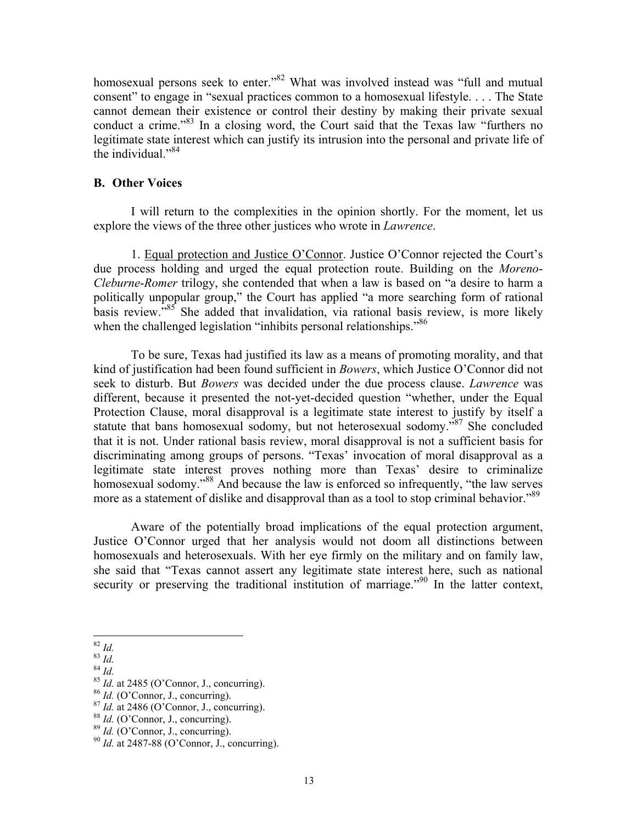homosexual persons seek to enter."<sup>82</sup> What was involved instead was "full and mutual consent" to engage in "sexual practices common to a homosexual lifestyle. . . . The State cannot demean their existence or control their destiny by making their private sexual conduct a crime."<sup>83</sup> In a closing word, the Court said that the Texas law "furthers no legitimate state interest which can justify its intrusion into the personal and private life of the individual." $84$ 

#### **B. Other Voices**

I will return to the complexities in the opinion shortly. For the moment, let us explore the views of the three other justices who wrote in *Lawrence*.

1. Equal protection and Justice O'Connor. Justice O'Connor rejected the Court's due process holding and urged the equal protection route. Building on the *Moreno*-*Cleburne*-*Romer* trilogy, she contended that when a law is based on "a desire to harm a politically unpopular group," the Court has applied "a more searching form of rational basis review.<sup>585</sup> She added that invalidation, via rational basis review, is more likely when the challenged legislation "inhibits personal relationships."<sup>86</sup>

To be sure, Texas had justified its law as a means of promoting morality, and that kind of justification had been found sufficient in *Bowers*, which Justice O'Connor did not seek to disturb. But *Bowers* was decided under the due process clause. *Lawrence* was different, because it presented the not-yet-decided question "whether, under the Equal Protection Clause, moral disapproval is a legitimate state interest to justify by itself a statute that bans homosexual sodomy, but not heterosexual sodomy."<sup>87</sup> She concluded that it is not. Under rational basis review, moral disapproval is not a sufficient basis for discriminating among groups of persons. "Texas' invocation of moral disapproval as a legitimate state interest proves nothing more than Texas' desire to criminalize homosexual sodomy."<sup>88</sup> And because the law is enforced so infrequently, "the law serves" more as a statement of dislike and disapproval than as a tool to stop criminal behavior."<sup>89</sup>

Aware of the potentially broad implications of the equal protection argument, Justice O'Connor urged that her analysis would not doom all distinctions between homosexuals and heterosexuals. With her eye firmly on the military and on family law, she said that "Texas cannot assert any legitimate state interest here, such as national security or preserving the traditional institution of marriage.<sup>"90</sup> In the latter context,

<span id="page-14-0"></span> $82$  Id.

<span id="page-14-1"></span>

<span id="page-14-2"></span>

<span id="page-14-3"></span>

<span id="page-14-5"></span><span id="page-14-4"></span>

<sup>&</sup>lt;sup>83</sup> *Id.*<br><sup>84</sup> *Id.*<br><sup>85</sup> *Id.* at 2485 (O'Connor, J., concurring).<br><sup>86</sup> *Id.* (O'Connor, J., concurring).<br><sup>87</sup> *Id.* at 2486 (O'Connor, J., concurring).<br><sup>88</sup> *Id.* (O'Connor, J., concurring).<br><sup>89</sup> *Id.* (O'Connor, J., c

<span id="page-14-6"></span>

<span id="page-14-7"></span>

<span id="page-14-8"></span>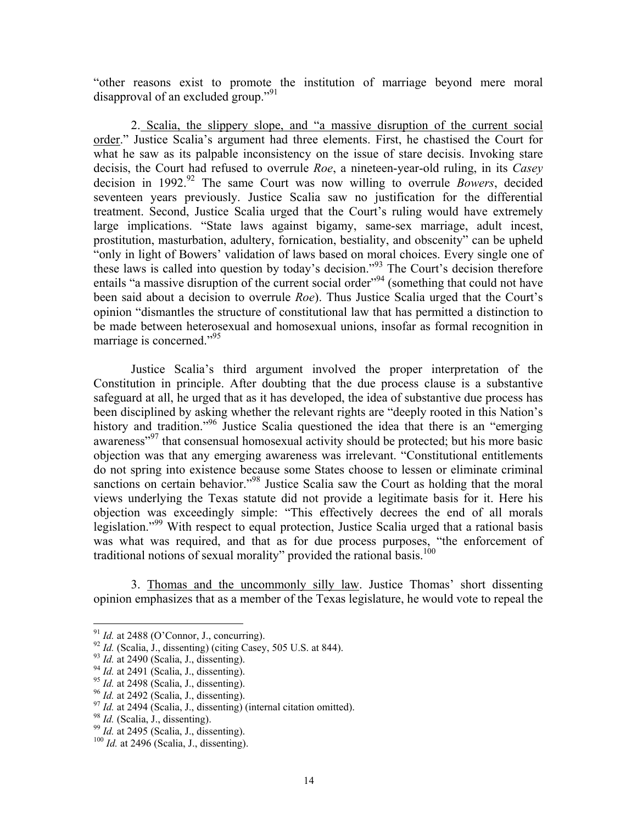"other reasons exist to promote the institution of marriage beyond mere moral disapproval of an excluded group."<sup>[91](#page-15-0)</sup>

2. Scalia, the slippery slope, and "a massive disruption of the current social order." Justice Scalia's argument had three elements. First, he chastised the Court for what he saw as its palpable inconsistency on the issue of stare decisis. Invoking stare decisis, the Court had refused to overrule *Roe*, a nineteen-year-old ruling, in its *Casey* decision in 1992.<sup>92</sup> The same Court was now willing to overrule *Bowers*, decided seventeen years previously. Justice Scalia saw no justification for the differential treatment. Second, Justice Scalia urged that the Court's ruling would have extremely large implications. "State laws against bigamy, same-sex marriage, adult incest, prostitution, masturbation, adultery, fornication, bestiality, and obscenity" can be upheld "only in light of Bowers' validation of laws based on moral choices. Every single one of these laws is called into question by today's decision."[93](#page-15-2) The Court's decision therefore entails "a massive disruption of the current social order"<sup>94</sup> (something that could not have been said about a decision to overrule *Roe*). Thus Justice Scalia urged that the Court's opinion "dismantles the structure of constitutional law that has permitted a distinction to be made between heterosexual and homosexual unions, insofar as formal recognition in marriage is concerned."<sup>[95](#page-15-4)</sup>

Justice Scalia's third argument involved the proper interpretation of the Constitution in principle. After doubting that the due process clause is a substantive safeguard at all, he urged that as it has developed, the idea of substantive due process has been disciplined by asking whether the relevant rights are "deeply rooted in this Nation's history and tradition."<sup>96</sup> Justice Scalia questioned the idea that there is an "emerging awareness<sup>"97</sup> that consensual homosexual activity should be protected; but his more basic objection was that any emerging awareness was irrelevant. "Constitutional entitlements do not spring into existence because some States choose to lessen or eliminate criminal sanctions on certain behavior.<sup>"98</sup> Justice Scalia saw the Court as holding that the moral views underlying the Texas statute did not provide a legitimate basis for it. Here his objection was exceedingly simple: "This effectively decrees the end of all morals legislation."<sup>99</sup> With respect to equal protection, Justice Scalia urged that a rational basis was what was required, and that as for due process purposes, "the enforcement of traditional notions of sexual morality" provided the rational basis.<sup>[100](#page-15-9)</sup>

3. Thomas and the uncommonly silly law. Justice Thomas' short dissenting opinion emphasizes that as a member of the Texas legislature, he would vote to repeal the

<span id="page-15-0"></span>

<span id="page-15-1"></span>

<span id="page-15-2"></span>

<span id="page-15-3"></span>

<span id="page-15-4"></span>

<span id="page-15-6"></span><span id="page-15-5"></span>

<sup>&</sup>lt;sup>91</sup> *Id.* at 2488 (O'Connor, J., concurring).<br><sup>92</sup> *Id.* (Scalia, J., dissenting) (citing Casey, 505 U.S. at 844).<br><sup>93</sup> *Id.* at 2490 (Scalia, J., dissenting).<br><sup>94</sup> *Id.* at 2491 (Scalia, J., dissenting).<br><sup>95</sup> *Id.* at 2

<span id="page-15-7"></span>

<span id="page-15-8"></span>

<span id="page-15-9"></span>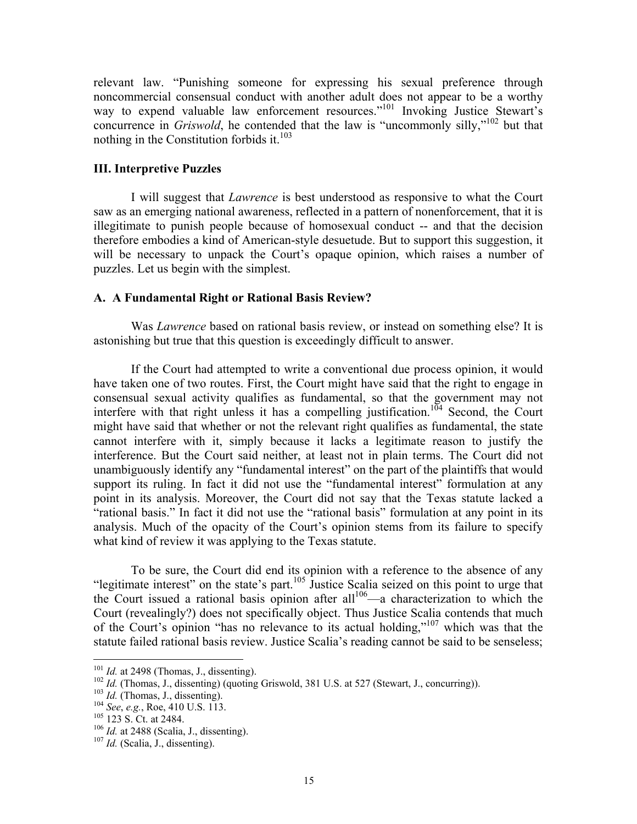relevant law. "Punishing someone for expressing his sexual preference through noncommercial consensual conduct with another adult does not appear to be a worthy way to expend valuable law enforcement resources."<sup>101</sup> Invoking Justice Stewart's concurrence in *Griswold*, he contended that the law is "uncommonly silly,"<sup>102</sup> but that nothing in the Constitution forbids it. $103$ 

#### **III. Interpretive Puzzles**

I will suggest that *Lawrence* is best understood as responsive to what the Court saw as an emerging national awareness, reflected in a pattern of nonenforcement, that it is illegitimate to punish people because of homosexual conduct -- and that the decision therefore embodies a kind of American-style desuetude. But to support this suggestion, it will be necessary to unpack the Court's opaque opinion, which raises a number of puzzles. Let us begin with the simplest.

#### **A. A Fundamental Right or Rational Basis Review?**

Was *Lawrence* based on rational basis review, or instead on something else? It is astonishing but true that this question is exceedingly difficult to answer.

If the Court had attempted to write a conventional due process opinion, it would have taken one of two routes. First, the Court might have said that the right to engage in consensual sexual activity qualifies as fundamental, so that the government may not interfere with that right unless it has a compelling justification.<sup>104</sup> Second, the Court might have said that whether or not the relevant right qualifies as fundamental, the state cannot interfere with it, simply because it lacks a legitimate reason to justify the interference. But the Court said neither, at least not in plain terms. The Court did not unambiguously identify any "fundamental interest" on the part of the plaintiffs that would support its ruling. In fact it did not use the "fundamental interest" formulation at any point in its analysis. Moreover, the Court did not say that the Texas statute lacked a "rational basis." In fact it did not use the "rational basis" formulation at any point in its analysis. Much of the opacity of the Court's opinion stems from its failure to specify what kind of review it was applying to the Texas statute.

To be sure, the Court did end its opinion with a reference to the absence of any "legitimate interest" on the state's part.<sup>105</sup> Justice Scalia seized on this point to urge that the Court issued a rational basis opinion after all<sup>106</sup>—a characterization to which the Court (revealingly?) does not specifically object. Thus Justice Scalia contends that much of the Court's opinion "has no relevance to its actual holding,["107](#page-16-6) which was that the statute failed rational basis review. Justice Scalia's reading cannot be said to be senseless;

<span id="page-16-0"></span> $101$  *Id.* at 2498 (Thomas, J., dissenting).

<span id="page-16-1"></span><sup>&</sup>lt;sup>102</sup> *Id.* (Thomas, J., dissenting) (quoting Griswold, 381 U.S. at 527 (Stewart, J., concurring)).<br><sup>103</sup> *Id.* (Thomas, J., dissenting).<br><sup>103</sup> *Id.* (Thomas, J., dissenting).<br><sup>104</sup> *See, e.g.*, Roe, 410 U.S. 113.<br><sup>105</sup> 1

<span id="page-16-2"></span>

<span id="page-16-3"></span>

<span id="page-16-4"></span>

<span id="page-16-5"></span>

<span id="page-16-6"></span>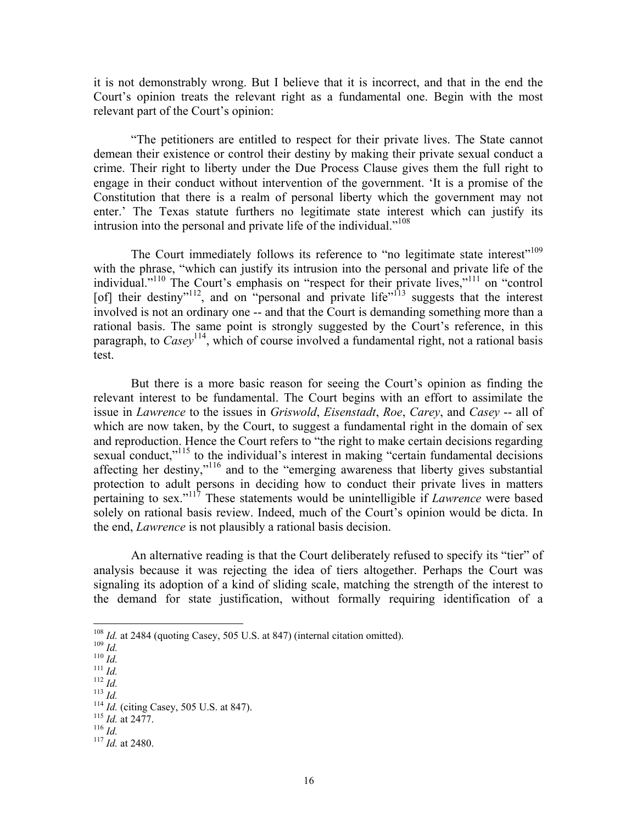it is not demonstrably wrong. But I believe that it is incorrect, and that in the end the Court's opinion treats the relevant right as a fundamental one. Begin with the most relevant part of the Court's opinion:

"The petitioners are entitled to respect for their private lives. The State cannot demean their existence or control their destiny by making their private sexual conduct a crime. Their right to liberty under the Due Process Clause gives them the full right to engage in their conduct without intervention of the government. 'It is a promise of the Constitution that there is a realm of personal liberty which the government may not enter.' The Texas statute furthers no legitimate state interest which can justify its intrusion into the personal and private life of the individual."<sup>108</sup>

The Court immediately follows its reference to "no legitimate state interest"<sup>109</sup> with the phrase, "which can justify its intrusion into the personal and private life of the individual."<sup>110</sup> The Court's emphasis on "respect for their private lives,"<sup>111</sup> on "control" [of] their destiny"<sup>112</sup>, and on "personal and private life"<sup>113</sup> suggests that the interest involved is not an ordinary one -- and that the Court is demanding something more than a rational basis. The same point is strongly suggested by the Court's reference, in this paragraph, to *Casey*<sup>114</sup>, which of course involved a fundamental right, not a rational basis test.

But there is a more basic reason for seeing the Court's opinion as finding the relevant interest to be fundamental. The Court begins with an effort to assimilate the issue in *Lawrence* to the issues in *Griswold*, *Eisenstadt*, *Roe*, *Carey*, and *Casey* -- all of which are now taken, by the Court, to suggest a fundamental right in the domain of sex and reproduction. Hence the Court refers to "the right to make certain decisions regarding sexual conduct,"<sup>115</sup> to the individual's interest in making "certain fundamental decisions" affecting her destiny,["116](#page-17-8) and to the "emerging awareness that liberty gives substantial protection to adult persons in deciding how to conduct their private lives in matters pertaining to sex."[117](#page-17-9) These statements would be unintelligible if *Lawrence* were based solely on rational basis review. Indeed, much of the Court's opinion would be dicta. In the end, *Lawrence* is not plausibly a rational basis decision.

An alternative reading is that the Court deliberately refused to specify its "tier" of analysis because it was rejecting the idea of tiers altogether. Perhaps the Court was signaling its adoption of a kind of sliding scale, matching the strength of the interest to the demand for state justification, without formally requiring identification of a

<span id="page-17-4"></span>

<span id="page-17-0"></span> $^{108}$  *Id.* at 2484 (quoting Casey, 505 U.S. at 847) (internal citation omitted). <sup>108</sup> *Id.* at 2484 (quoting Casey, 505 U.S. at 847) (internal citation omitted).<br><sup>109</sup> *Id.*<br><sup>110</sup> *Id.*<br><sup>111</sup> *Id.*<br><sup>112</sup> *Id.*<br><sup>112</sup> *Id.*<br><sup>113</sup> *Id.*<br><sup>114</sup> *Id.* (citing Casey, 505 U.S. at 847).<br><sup>115</sup> *Id.* at 2477.<br><sup></sup>

<span id="page-17-1"></span>

<span id="page-17-2"></span>

<span id="page-17-3"></span>

<span id="page-17-6"></span><span id="page-17-5"></span>

<span id="page-17-7"></span>

<span id="page-17-8"></span>

<span id="page-17-9"></span>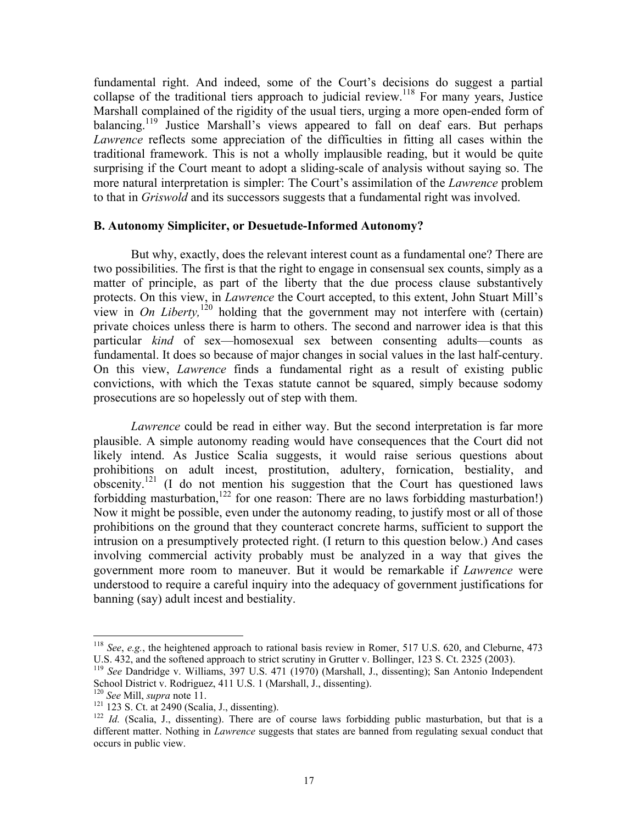fundamental right. And indeed, some of the Court's decisions do suggest a partial collapse of the traditional tiers approach to judicial review.<sup>118</sup> For many years, Justice Marshall complained of the rigidity of the usual tiers, urging a more open-ended form of balancing.<sup>119</sup> Justice Marshall's views appeared to fall on deaf ears. But perhaps *Lawrence* reflects some appreciation of the difficulties in fitting all cases within the traditional framework. This is not a wholly implausible reading, but it would be quite surprising if the Court meant to adopt a sliding-scale of analysis without saying so. The more natural interpretation is simpler: The Court's assimilation of the *Lawrence* problem to that in *Griswold* and its successors suggests that a fundamental right was involved.

#### **B. Autonomy Simpliciter, or Desuetude-Informed Autonomy?**

But why, exactly, does the relevant interest count as a fundamental one? There are two possibilities. The first is that the right to engage in consensual sex counts, simply as a matter of principle, as part of the liberty that the due process clause substantively protects. On this view, in *Lawrence* the Court accepted, to this extent, John Stuart Mill's view in *On Liberty*,<sup>120</sup> holding that the government may not interfere with (certain) private choices unless there is harm to others. The second and narrower idea is that this particular *kind* of sex—homosexual sex between consenting adults—counts as fundamental. It does so because of major changes in social values in the last half-century. On this view, *Lawrence* finds a fundamental right as a result of existing public convictions, with which the Texas statute cannot be squared, simply because sodomy prosecutions are so hopelessly out of step with them.

*Lawrence* could be read in either way. But the second interpretation is far more plausible. A simple autonomy reading would have consequences that the Court did not likely intend. As Justice Scalia suggests, it would raise serious questions about prohibitions on adult incest, prostitution, adultery, fornication, bestiality, and obscenity.<sup>121</sup> (I do not mention his suggestion that the Court has questioned laws forbidding masturbation,<sup>122</sup> for one reason: There are no laws forbidding masturbation!) Now it might be possible, even under the autonomy reading, to justify most or all of those prohibitions on the ground that they counteract concrete harms, sufficient to support the intrusion on a presumptively protected right. (I return to this question below.) And cases involving commercial activity probably must be analyzed in a way that gives the government more room to maneuver. But it would be remarkable if *Lawrence* were understood to require a careful inquiry into the adequacy of government justifications for banning (say) adult incest and bestiality.

<span id="page-18-0"></span><sup>118</sup> *See*, *e.g.*, the heightened approach to rational basis review in Romer, 517 U.S. 620, and Cleburne, 473

<span id="page-18-1"></span>U.S. 432, and the softened approach to strict scrutiny in Grutter v. Bollinger, 123 S. Ct. 2325 (2003).<br><sup>119</sup> *See* Dandridge v. Williams, 397 U.S. 471 (1970) (Marshall, J., dissenting); San Antonio Independent<br>School Dist

<span id="page-18-2"></span>

<span id="page-18-4"></span><span id="page-18-3"></span>

<sup>&</sup>lt;sup>120</sup> See Mill, *supra* note 11.<br><sup>121</sup> 123 S. Ct. at 2490 (Scalia, J., dissenting).<br><sup>122</sup> *Id.* (Scalia, J., dissenting). There are of course laws forbidding public masturbation, but that is a different matter. Nothing in *Lawrence* suggests that states are banned from regulating sexual conduct that occurs in public view.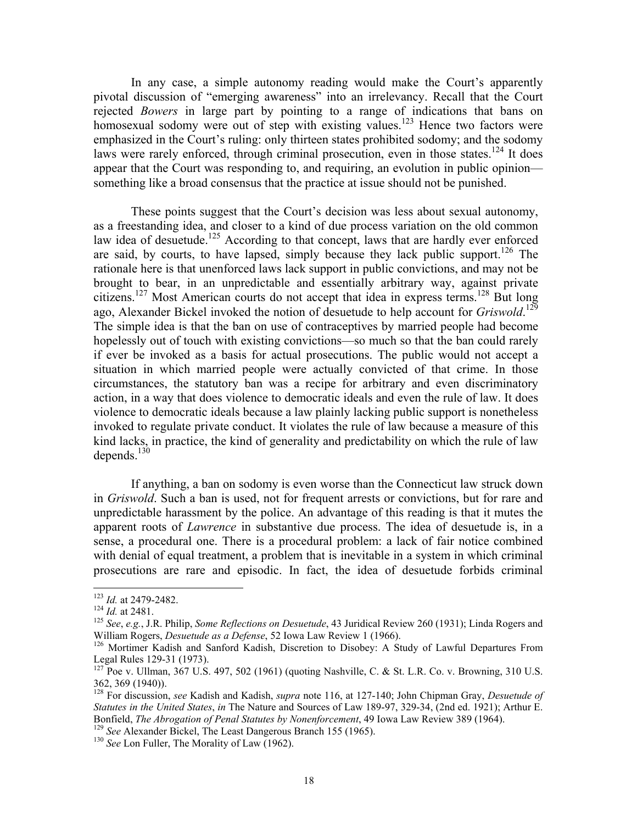In any case, a simple autonomy reading would make the Court's apparently pivotal discussion of "emerging awareness" into an irrelevancy. Recall that the Court rejected *Bowers* in large part by pointing to a range of indications that bans on homosexual sodomy were out of step with existing values.<sup>123</sup> Hence two factors were emphasized in the Court's ruling: only thirteen states prohibited sodomy; and the sodomy laws were rarely enforced, through criminal prosecution, even in those states.<sup>124</sup> It does appear that the Court was responding to, and requiring, an evolution in public opinion something like a broad consensus that the practice at issue should not be punished.

These points suggest that the Court's decision was less about sexual autonomy, as a freestanding idea, and closer to a kind of due process variation on the old common law idea of desuetude.<sup>125</sup> According to that concept, laws that are hardly ever enforced are said, by courts, to have lapsed, simply because they lack public support.<sup>126</sup> The rationale here is that unenforced laws lack support in public convictions, and may not be brought to bear, in an unpredictable and essentially arbitrary way, against private citizens.[127](#page-19-4) Most American courts do not accept that idea in express terms.[128 B](#page-19-5)ut long ago, Alexander Bickel invoked the notion of desuetude to help account for *Griswold*.<sup>[129](#page-19-6)</sup> The simple idea is that the ban on use of contraceptives by married people had become hopelessly out of touch with existing convictions—so much so that the ban could rarely if ever be invoked as a basis for actual prosecutions. The public would not accept a situation in which married people were actually convicted of that crime. In those circumstances, the statutory ban was a recipe for arbitrary and even discriminatory action, in a way that does violence to democratic ideals and even the rule of law. It does violence to democratic ideals because a law plainly lacking public support is nonetheless invoked to regulate private conduct. It violates the rule of law because a measure of this kind lacks, in practice, the kind of generality and predictability on which the rule of law depends. $130$ 

If anything, a ban on sodomy is even worse than the Connecticut law struck down in *Griswold*. Such a ban is used, not for frequent arrests or convictions, but for rare and unpredictable harassment by the police. An advantage of this reading is that it mutes the apparent roots of *Lawrence* in substantive due process. The idea of desuetude is, in a sense, a procedural one. There is a procedural problem: a lack of fair notice combined with denial of equal treatment, a problem that is inevitable in a system in which criminal prosecutions are rare and episodic. In fact, the idea of desuetude forbids criminal

<span id="page-19-6"></span>

<span id="page-19-0"></span><sup>&</sup>lt;sup>123</sup> Id. at 2479-2482.

<span id="page-19-2"></span><span id="page-19-1"></span>

<sup>124</sup> *Id.* at 2479-2482.<br><sup>124</sup> *Id.* at 2481.<br><sup>125</sup> *See*, *e.g.*, J.R. Philip, *Some Reflections on Desuetude*, 43 Juridical Review 260 (1931); Linda Rogers and<br>William Rogers, *Desuetude as a Defense*, 52 Iowa Law Review

<span id="page-19-3"></span><sup>&</sup>lt;sup>126</sup> Mortimer Kadish and Sanford Kadish, Discretion to Disobey: A Study of Lawful Departures From Legal Rules 129-31 (1973).<br><sup>127</sup> Poe v. Ullman, 367 U.S. 497, 502 (1961) (quoting Nashville, C. & St. L.R. Co. v. Browning, 310 U.S.

<span id="page-19-4"></span><sup>362, 369 (1940)).</sup> 

<span id="page-19-5"></span><sup>128</sup> For discussion, *see* Kadish and Kadish, *supra* note 116, at 127-140; John Chipman Gray, *Desuetude of Statutes in the United States*, *in* The Nature and Sources of Law 189-97, 329-34, (2nd ed. 1921); Arthur E. Bonfield, *The Abrogation of Penal Statutes by Nonenforcement*, 49 Iowa Law Review 389 (1964).<br><sup>129</sup> *See* Alexander Bickel, The Least Dangerous Branch 155 (1965).<br><sup>130</sup> *See* Lon Fuller, The Morality of Law (1962).

<span id="page-19-7"></span>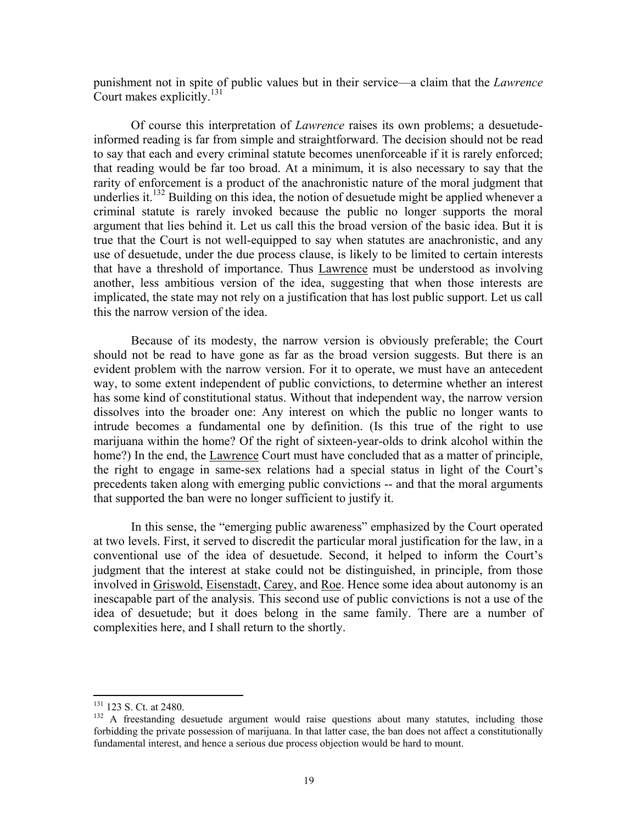punishment not in spite of public values but in their service—a claim that the *Lawrence* Court makes explicitly.<sup>131</sup>

Of course this interpretation of *Lawrence* raises its own problems; a desuetudeinformed reading is far from simple and straightforward. The decision should not be read to say that each and every criminal statute becomes unenforceable if it is rarely enforced; that reading would be far too broad. At a minimum, it is also necessary to say that the rarity of enforcement is a product of the anachronistic nature of the moral judgment that underlies it.<sup>132</sup> Building on this idea, the notion of desuetude might be applied whenever a criminal statute is rarely invoked because the public no longer supports the moral argument that lies behind it. Let us call this the broad version of the basic idea. But it is true that the Court is not well-equipped to say when statutes are anachronistic, and any use of desuetude, under the due process clause, is likely to be limited to certain interests that have a threshold of importance. Thus Lawrence must be understood as involving another, less ambitious version of the idea, suggesting that when those interests are implicated, the state may not rely on a justification that has lost public support. Let us call this the narrow version of the idea.

Because of its modesty, the narrow version is obviously preferable; the Court should not be read to have gone as far as the broad version suggests. But there is an evident problem with the narrow version. For it to operate, we must have an antecedent way, to some extent independent of public convictions, to determine whether an interest has some kind of constitutional status. Without that independent way, the narrow version dissolves into the broader one: Any interest on which the public no longer wants to intrude becomes a fundamental one by definition. (Is this true of the right to use marijuana within the home? Of the right of sixteen-year-olds to drink alcohol within the home?) In the end, the Lawrence Court must have concluded that as a matter of principle, the right to engage in same-sex relations had a special status in light of the Court's precedents taken along with emerging public convictions -- and that the moral arguments that supported the ban were no longer sufficient to justify it.

In this sense, the "emerging public awareness" emphasized by the Court operated at two levels. First, it served to discredit the particular moral justification for the law, in a conventional use of the idea of desuetude. Second, it helped to inform the Court's judgment that the interest at stake could not be distinguished, in principle, from those involved in Griswold, Eisenstadt, Carey, and Roe. Hence some idea about autonomy is an inescapable part of the analysis. This second use of public convictions is not a use of the idea of desuetude; but it does belong in the same family. There are a number of complexities here, and I shall return to the shortly.

<span id="page-20-0"></span><sup>&</sup>lt;sup>131</sup> 123 S. Ct. at 2480.

<span id="page-20-1"></span> $132$  A freestanding desuetude argument would raise questions about many statutes, including those forbidding the private possession of marijuana. In that latter case, the ban does not affect a constitutionally fundamental interest, and hence a serious due process objection would be hard to mount.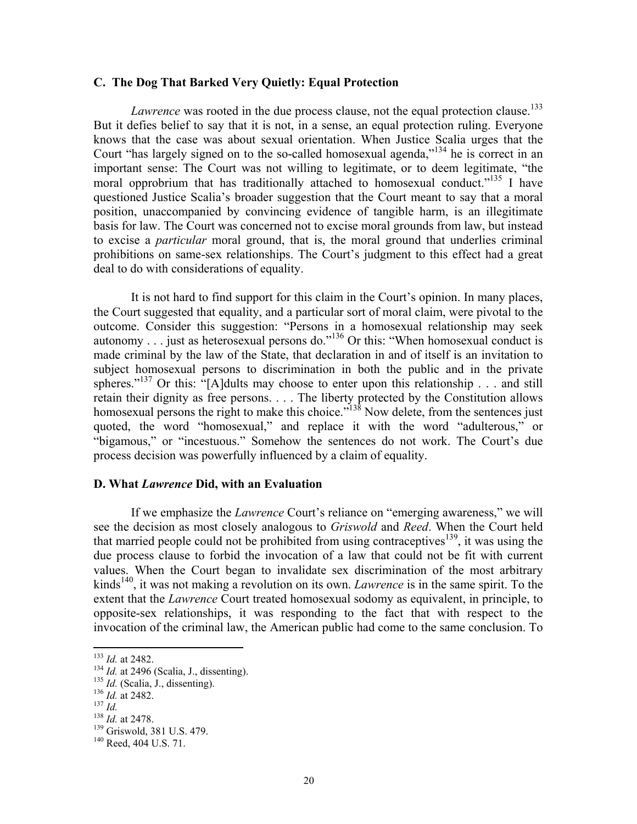#### **C. The Dog That Barked Very Quietly: Equal Protection**

*Lawrence* was rooted in the due process clause, not the equal protection clause.<sup>133</sup> But it defies belief to say that it is not, in a sense, an equal protection ruling. Everyone knows that the case was about sexual orientation. When Justice Scalia urges that the Court "has largely signed on to the so-called homosexual agenda,"<sup>134</sup> he is correct in an important sense: The Court was not willing to legitimate, or to deem legitimate, "the moral opprobrium that has traditionally attached to homosexual conduct."<sup>135</sup> I have questioned Justice Scalia's broader suggestion that the Court meant to say that a moral position, unaccompanied by convincing evidence of tangible harm, is an illegitimate basis for law. The Court was concerned not to excise moral grounds from law, but instead to excise a *particular* moral ground, that is, the moral ground that underlies criminal prohibitions on same-sex relationships. The Court's judgment to this effect had a great deal to do with considerations of equality.

It is not hard to find support for this claim in the Court's opinion. In many places, the Court suggested that equality, and a particular sort of moral claim, were pivotal to the outcome. Consider this suggestion: "Persons in a homosexual relationship may seek autonomy . . . just as heterosexual persons do."[136](#page-21-3) Or this: "When homosexual conduct is made criminal by the law of the State, that declaration in and of itself is an invitation to subject homosexual persons to discrimination in both the public and in the private spheres."<sup>137</sup> Or this: "[A]dults may choose to enter upon this relationship . . . and still retain their dignity as free persons. . . . The liberty protected by the Constitution allows homosexual persons the right to make this choice."<sup>138</sup> Now delete, from the sentences just quoted, the word "homosexual," and replace it with the word "adulterous," or "bigamous," or "incestuous." Somehow the sentences do not work. The Court's due process decision was powerfully influenced by a claim of equality.

#### **D. What** *Lawrence* **Did, with an Evaluation**

If we emphasize the *Lawrence* Court's reliance on "emerging awareness," we will see the decision as most closely analogous to *Griswold* and *Reed*. When the Court held that married people could not be prohibited from using contraceptives<sup>139</sup>, it was using the due process clause to forbid the invocation of a law that could not be fit with current values. When the Court began to invalidate sex discrimination of the most arbitrary kinds<sup>140</sup>, it was not making a revolution on its own. *Lawrence* is in the same spirit. To the extent that the *Lawrence* Court treated homosexual sodomy as equivalent, in principle, to opposite-sex relationships, it was responding to the fact that with respect to the invocation of the criminal law, the American public had come to the same conclusion. To

<span id="page-21-0"></span> $133$  *Id.* at 2482.

<span id="page-21-1"></span><sup>&</sup>lt;sup>134</sup> *Id.* at 2496 (Scalia, J., dissenting).<br><sup>135</sup> *Id.* (Scalia, J., dissenting).<br><sup>136</sup> *Id.* at 2482.<br><sup>137</sup> *Id.*<br><sup>138</sup> *Id.* at 2478.<br><sup>139</sup> Griswold, 381 U.S. 479.<br><sup>140</sup> Reed, 404 U.S. 71.

<span id="page-21-2"></span>

<span id="page-21-3"></span>

<span id="page-21-4"></span>

<span id="page-21-5"></span>

<span id="page-21-6"></span>

<span id="page-21-7"></span>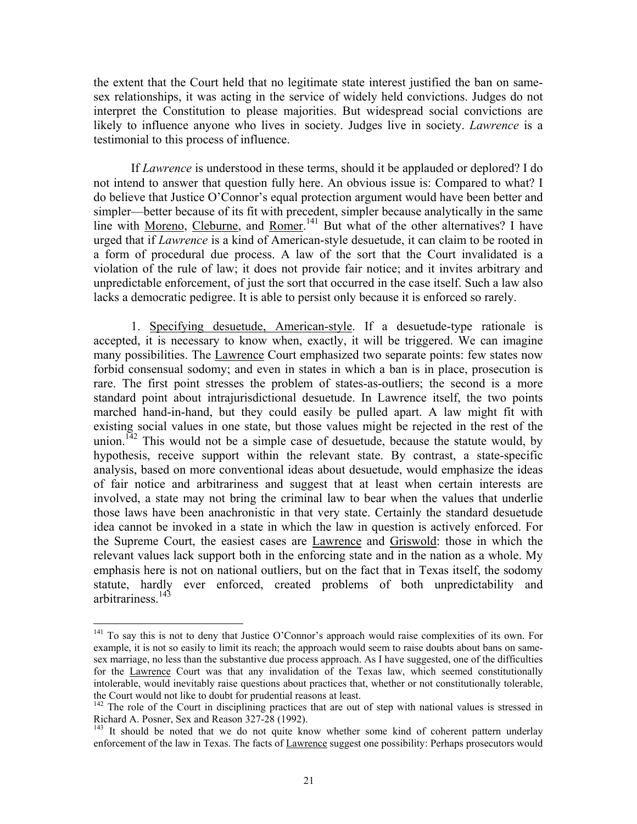<span id="page-22-2"></span>the extent that the Court held that no legitimate state interest justified the ban on samesex relationships, it was acting in the service of widely held convictions. Judges do not interpret the Constitution to please majorities. But widespread social convictions are likely to influence anyone who lives in society. Judges live in society. *Lawrence* is a testimonial to this process of influence.

If *Lawrence* is understood in these terms, should it be applauded or deplored? I do not intend to answer that question fully here. An obvious issue is: Compared to what? I do believe that Justice O'Connor's equal protection argument would have been better and simpler—better because of its fit with precedent, simpler because analytically in the same line with Moreno, Cleburne, and Romer.<sup>141</sup> But what of the other alternatives? I have urged that if *Lawrence* is a kind of American-style desuetude, it can claim to be rooted in a form of procedural due process. A law of the sort that the Court invalidated is a violation of the rule of law; it does not provide fair notice; and it invites arbitrary and unpredictable enforcement, of just the sort that occurred in the case itself. Such a law also lacks a democratic pedigree. It is able to persist only because it is enforced so rarely.

1. Specifying desuetude, American-style. If a desuetude-type rationale is accepted, it is necessary to know when, exactly, it will be triggered. We can imagine many possibilities. The Lawrence Court emphasized two separate points: few states now forbid consensual sodomy; and even in states in which a ban is in place, prosecution is rare. The first point stresses the problem of states-as-outliers; the second is a more standard point about intrajurisdictional desuetude. In Lawrence itself, the two points marched hand-in-hand, but they could easily be pulled apart. A law might fit with existing social values in one state, but those values might be rejected in the rest of the union.<sup>142</sup> This would not be a simple case of desuetude, because the statute would, by hypothesis, receive support within the relevant state. By contrast, a state-specific analysis, based on more conventional ideas about desuetude, would emphasize the ideas of fair notice and arbitrariness and suggest that at least when certain interests are involved, a state may not bring the criminal law to bear when the values that underlie those laws have been anachronistic in that very state. Certainly the standard desuetude idea cannot be invoked in a state in which the law in question is actively enforced. For the Supreme Court, the easiest cases are Lawrence and Griswold: those in which the relevant values lack support both in the enforcing state and in the nation as a whole. My emphasis here is not on national outliers, but on the fact that in Texas itself, the sodomy statute, hardly ever enforced, created problems of both unpredictability and arbitrariness<sup>[143](#page-22-2)</sup>

<span id="page-22-0"></span><sup>&</sup>lt;sup>141</sup> To say this is not to deny that Justice O'Connor's approach would raise complexities of its own. For example, it is not so easily to limit its reach; the approach would seem to raise doubts about bans on samesex marriage, no less than the substantive due process approach. As I have suggested, one of the difficulties for the Lawrence Court was that any invalidation of the Texas law, which seemed constitutionally intolerable, would inevitably raise questions about practices that, whether or not constitutionally tolerable,

<span id="page-22-1"></span>the Court would not like to doubt for prudential reasons at least.<br><sup>142</sup> The role of the Court in disciplining practices that are out of step with national values is stressed in<br>Richard A. Posner, Sex and Reason 327-28 (1

<sup>&</sup>lt;sup>143</sup> It should be noted that we do not quite know whether some kind of coherent pattern underlay enforcement of the law in Texas. The facts of Lawrence suggest one possibility: Perhaps prosecutors would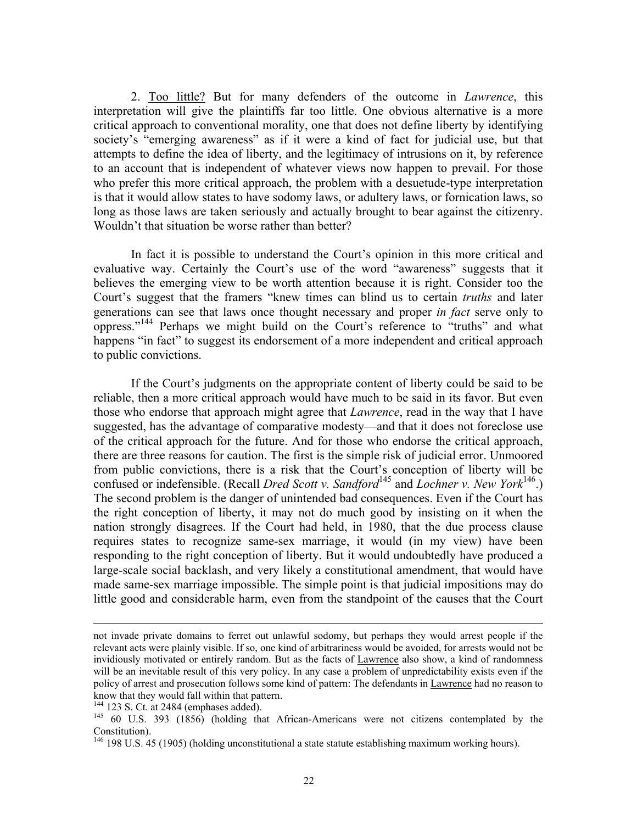2. Too little? But for many defenders of the outcome in *Lawrence*, this interpretation will give the plaintiffs far too little. One obvious alternative is a more critical approach to conventional morality, one that does not define liberty by identifying society's "emerging awareness" as if it were a kind of fact for judicial use, but that attempts to define the idea of liberty, and the legitimacy of intrusions on it, by reference to an account that is independent of whatever views now happen to prevail. For those who prefer this more critical approach, the problem with a desuetude-type interpretation is that it would allow states to have sodomy laws, or adultery laws, or fornication laws, so long as those laws are taken seriously and actually brought to bear against the citizenry. Wouldn't that situation be worse rather than better?

In fact it is possible to understand the Court's opinion in this more critical and evaluative way. Certainly the Court's use of the word "awareness" suggests that it believes the emerging view to be worth attention because it is right. Consider too the Court's suggest that the framers "knew times can blind us to certain *truths* and later generations can see that laws once thought necessary and proper *in fact* serve only to oppress."[144](#page-23-0) Perhaps we might build on the Court's reference to "truths" and what happens "in fact" to suggest its endorsement of a more independent and critical approach to public convictions.

If the Court's judgments on the appropriate content of liberty could be said to be reliable, then a more critical approach would have much to be said in its favor. But even those who endorse that approach might agree that *Lawrence*, read in the way that I have suggested, has the advantage of comparative modesty—and that it does not foreclose use of the critical approach for the future. And for those who endorse the critical approach, there are three reasons for caution. The first is the simple risk of judicial error. Unmoored from public convictions, there is a risk that the Court's conception of liberty will be confused or indefensible. (Recall *Dred Scott v. Sandford*<sup>145</sup> and *Lochner v. New York*<sup>146</sup>.) The second problem is the danger of unintended bad consequences. Even if the Court has the right conception of liberty, it may not do much good by insisting on it when the nation strongly disagrees. If the Court had held, in 1980, that the due process clause requires states to recognize same-sex marriage, it would (in my view) have been responding to the right conception of liberty. But it would undoubtedly have produced a large-scale social backlash, and very likely a constitutional amendment, that would have made same-sex marriage impossible. The simple point is that judicial impositions may do little good and considerable harm, even from the standpoint of the causes that the Court

not invade private domains to ferret out unlawful sodomy, but perhaps they would arrest people if the relevant acts were plainly visible. If so, one kind of arbitrariness would be avoided, for arrests would not be invidiously motivated or entirely random. But as the facts of Lawrence also show, a kind of randomness will be an inevitable result of this very policy. In any case a problem of unpredictability exists even if the policy of arrest and prosecution follows some kind of pattern: The defendants in Lawrence had no reason to

<span id="page-23-1"></span><span id="page-23-0"></span>

know that they would fall within that pattern.<br><sup>144</sup> 123 S. Ct. at 2484 (emphases added).<br><sup>145</sup> 60 U.S. 393 (1856) (holding that African-Americans were not citizens contemplated by the Constitution). 146 198 U.S. 45 (1905) (holding unconstitutional a state statute establishing maximum working hours).

<span id="page-23-2"></span>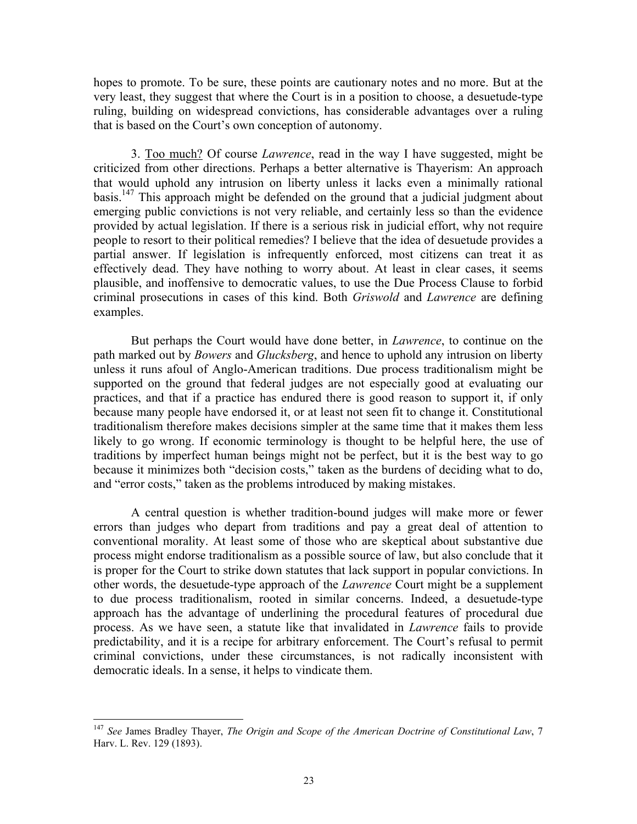hopes to promote. To be sure, these points are cautionary notes and no more. But at the very least, they suggest that where the Court is in a position to choose, a desuetude-type ruling, building on widespread convictions, has considerable advantages over a ruling that is based on the Court's own conception of autonomy.

3. Too much? Of course *Lawrence*, read in the way I have suggested, might be criticized from other directions. Perhaps a better alternative is Thayerism: An approach that would uphold any intrusion on liberty unless it lacks even a minimally rational basis.<sup>147</sup> This approach might be defended on the ground that a judicial judgment about emerging public convictions is not very reliable, and certainly less so than the evidence provided by actual legislation. If there is a serious risk in judicial effort, why not require people to resort to their political remedies? I believe that the idea of desuetude provides a partial answer. If legislation is infrequently enforced, most citizens can treat it as effectively dead. They have nothing to worry about. At least in clear cases, it seems plausible, and inoffensive to democratic values, to use the Due Process Clause to forbid criminal prosecutions in cases of this kind. Both *Griswold* and *Lawrence* are defining examples.

But perhaps the Court would have done better, in *Lawrence*, to continue on the path marked out by *Bowers* and *Glucksberg*, and hence to uphold any intrusion on liberty unless it runs afoul of Anglo-American traditions. Due process traditionalism might be supported on the ground that federal judges are not especially good at evaluating our practices, and that if a practice has endured there is good reason to support it, if only because many people have endorsed it, or at least not seen fit to change it. Constitutional traditionalism therefore makes decisions simpler at the same time that it makes them less likely to go wrong. If economic terminology is thought to be helpful here, the use of traditions by imperfect human beings might not be perfect, but it is the best way to go because it minimizes both "decision costs," taken as the burdens of deciding what to do, and "error costs," taken as the problems introduced by making mistakes.

A central question is whether tradition-bound judges will make more or fewer errors than judges who depart from traditions and pay a great deal of attention to conventional morality. At least some of those who are skeptical about substantive due process might endorse traditionalism as a possible source of law, but also conclude that it is proper for the Court to strike down statutes that lack support in popular convictions. In other words, the desuetude-type approach of the *Lawrence* Court might be a supplement to due process traditionalism, rooted in similar concerns. Indeed, a desuetude-type approach has the advantage of underlining the procedural features of procedural due process. As we have seen, a statute like that invalidated in *Lawrence* fails to provide predictability, and it is a recipe for arbitrary enforcement. The Court's refusal to permit criminal convictions, under these circumstances, is not radically inconsistent with democratic ideals. In a sense, it helps to vindicate them.

<span id="page-24-0"></span><sup>147</sup> *See* James Bradley Thayer, *The Origin and Scope of the American Doctrine of Constitutional Law*, 7 Harv. L. Rev. 129 (1893).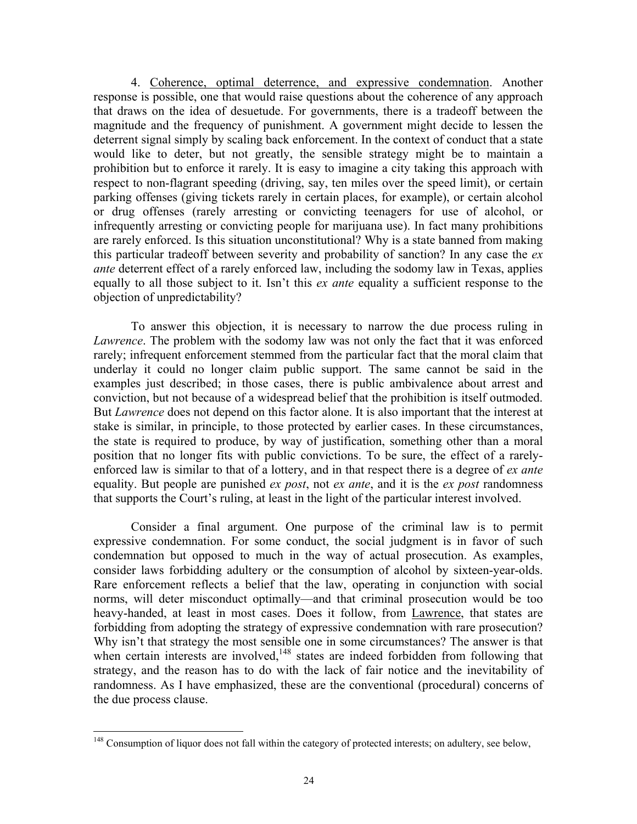4. Coherence, optimal deterrence, and expressive condemnation. Another response is possible, one that would raise questions about the coherence of any approach that draws on the idea of desuetude. For governments, there is a tradeoff between the magnitude and the frequency of punishment. A government might decide to lessen the deterrent signal simply by scaling back enforcement. In the context of conduct that a state would like to deter, but not greatly, the sensible strategy might be to maintain a prohibition but to enforce it rarely. It is easy to imagine a city taking this approach with respect to non-flagrant speeding (driving, say, ten miles over the speed limit), or certain parking offenses (giving tickets rarely in certain places, for example), or certain alcohol or drug offenses (rarely arresting or convicting teenagers for use of alcohol, or infrequently arresting or convicting people for marijuana use). In fact many prohibitions are rarely enforced. Is this situation unconstitutional? Why is a state banned from making this particular tradeoff between severity and probability of sanction? In any case the *ex ante* deterrent effect of a rarely enforced law, including the sodomy law in Texas, applies equally to all those subject to it. Isn't this *ex ante* equality a sufficient response to the objection of unpredictability?

To answer this objection, it is necessary to narrow the due process ruling in *Lawrence*. The problem with the sodomy law was not only the fact that it was enforced rarely; infrequent enforcement stemmed from the particular fact that the moral claim that underlay it could no longer claim public support. The same cannot be said in the examples just described; in those cases, there is public ambivalence about arrest and conviction, but not because of a widespread belief that the prohibition is itself outmoded. But *Lawrence* does not depend on this factor alone. It is also important that the interest at stake is similar, in principle, to those protected by earlier cases. In these circumstances, the state is required to produce, by way of justification, something other than a moral position that no longer fits with public convictions. To be sure, the effect of a rarelyenforced law is similar to that of a lottery, and in that respect there is a degree of *ex ante* equality. But people are punished *ex post*, not *ex ante*, and it is the *ex post* randomness that supports the Court's ruling, at least in the light of the particular interest involved.

Consider a final argument. One purpose of the criminal law is to permit expressive condemnation. For some conduct, the social judgment is in favor of such condemnation but opposed to much in the way of actual prosecution. As examples, consider laws forbidding adultery or the consumption of alcohol by sixteen-year-olds. Rare enforcement reflects a belief that the law, operating in conjunction with social norms, will deter misconduct optimally—and that criminal prosecution would be too heavy-handed, at least in most cases. Does it follow, from Lawrence, that states are forbidding from adopting the strategy of expressive condemnation with rare prosecution? Why isn't that strategy the most sensible one in some circumstances? The answer is that when certain interests are involved, $148$  states are indeed forbidden from following that strategy, and the reason has to do with the lack of fair notice and the inevitability of randomness. As I have emphasized, these are the conventional (procedural) concerns of the due process clause.

<span id="page-25-0"></span><sup>&</sup>lt;sup>148</sup> Consumption of liquor does not fall within the category of protected interests; on adultery, see below,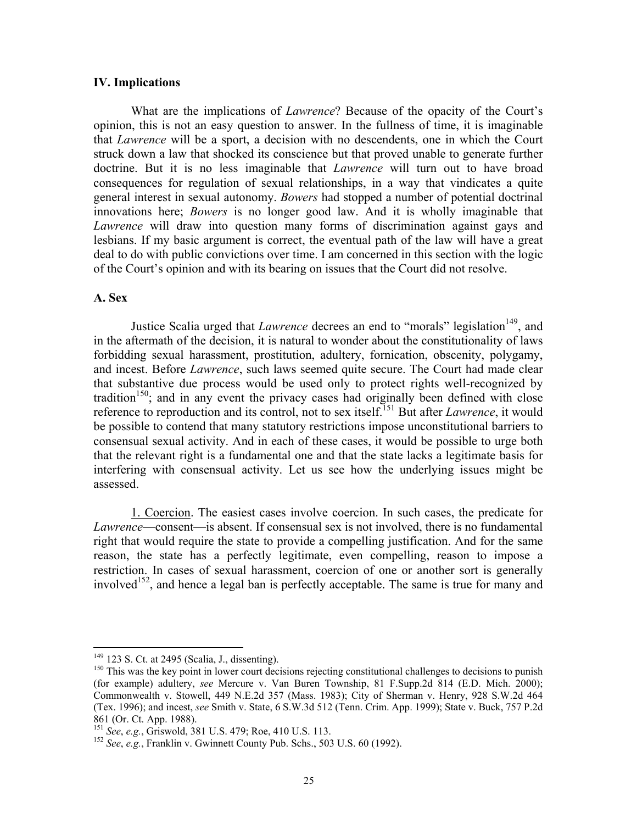#### **IV. Implications**

What are the implications of *Lawrence*? Because of the opacity of the Court's opinion, this is not an easy question to answer. In the fullness of time, it is imaginable that *Lawrence* will be a sport, a decision with no descendents, one in which the Court struck down a law that shocked its conscience but that proved unable to generate further doctrine. But it is no less imaginable that *Lawrence* will turn out to have broad consequences for regulation of sexual relationships, in a way that vindicates a quite general interest in sexual autonomy. *Bowers* had stopped a number of potential doctrinal innovations here; *Bowers* is no longer good law. And it is wholly imaginable that *Lawrence* will draw into question many forms of discrimination against gays and lesbians. If my basic argument is correct, the eventual path of the law will have a great deal to do with public convictions over time. I am concerned in this section with the logic of the Court's opinion and with its bearing on issues that the Court did not resolve.

#### **A. Sex**

Justice Scalia urged that *Lawrence* decrees an end to "morals" legislation<sup>149</sup>, and in the aftermath of the decision, it is natural to wonder about the constitutionality of laws forbidding sexual harassment, prostitution, adultery, fornication, obscenity, polygamy, and incest. Before *Lawrence*, such laws seemed quite secure. The Court had made clear that substantive due process would be used only to protect rights well-recognized by tradition<sup>150</sup>; and in any event the privacy cases had originally been defined with close reference to reproduction and its control, not to sex itself.<sup>151</sup> But after *Lawrence*, it would be possible to contend that many statutory restrictions impose unconstitutional barriers to consensual sexual activity. And in each of these cases, it would be possible to urge both that the relevant right is a fundamental one and that the state lacks a legitimate basis for interfering with consensual activity. Let us see how the underlying issues might be assessed.

1. Coercion. The easiest cases involve coercion. In such cases, the predicate for *Lawrence*—consent—is absent. If consensual sex is not involved, there is no fundamental right that would require the state to provide a compelling justification. And for the same reason, the state has a perfectly legitimate, even compelling, reason to impose a restriction. In cases of sexual harassment, coercion of one or another sort is generally involved<sup>152</sup>, and hence a legal ban is perfectly acceptable. The same is true for many and

<span id="page-26-0"></span> $149$  123 S. Ct. at 2495 (Scalia, J., dissenting).

<span id="page-26-1"></span> $150$  This was the key point in lower court decisions rejecting constitutional challenges to decisions to punish (for example) adultery, *see* Mercure v. Van Buren Township, 81 F.Supp.2d 814 (E.D. Mich. 2000); Commonwealth v. Stowell, 449 N.E.2d 357 (Mass. 1983); City of Sherman v. Henry, 928 S.W.2d 464 (Tex. 1996); and incest, *see* Smith v. State, 6 S.W.3d 512 (Tenn. Crim. App. 1999); State v. Buck, 757 P.2d

<span id="page-26-3"></span><span id="page-26-2"></span>

<sup>861 (</sup>Or. Ct. App. 1988). 151 *See*, *e.g.*, Griswold, 381 U.S. 479; Roe, 410 U.S. 113. 152 *See*, *e.g.*, Franklin v. Gwinnett County Pub. Schs., 503 U.S. 60 (1992).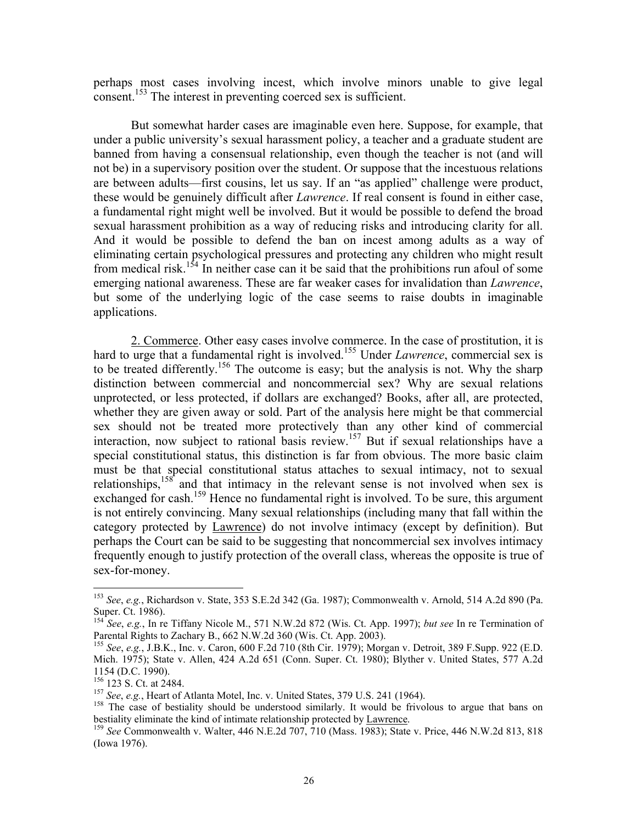perhaps most cases involving incest, which involve minors unable to give legal consent.<sup>153</sup> The interest in preventing coerced sex is sufficient.

But somewhat harder cases are imaginable even here. Suppose, for example, that under a public university's sexual harassment policy, a teacher and a graduate student are banned from having a consensual relationship, even though the teacher is not (and will not be) in a supervisory position over the student. Or suppose that the incestuous relations are between adults—first cousins, let us say. If an "as applied" challenge were product, these would be genuinely difficult after *Lawrence*. If real consent is found in either case, a fundamental right might well be involved. But it would be possible to defend the broad sexual harassment prohibition as a way of reducing risks and introducing clarity for all. And it would be possible to defend the ban on incest among adults as a way of eliminating certain psychological pressures and protecting any children who might result from medical risk.<sup>154</sup> In neither case can it be said that the prohibitions run afoul of some emerging national awareness. These are far weaker cases for invalidation than *Lawrence*, but some of the underlying logic of the case seems to raise doubts in imaginable applications.

2. Commerce. Other easy cases involve commerce. In the case of prostitution, it is hard to urge that a fundamental right is involved.<sup>155</sup> Under *Lawrence*, commercial sex is to be treated differently.<sup>156</sup> The outcome is easy; but the analysis is not. Why the sharp distinction between commercial and noncommercial sex? Why are sexual relations unprotected, or less protected, if dollars are exchanged? Books, after all, are protected, whether they are given away or sold. Part of the analysis here might be that commercial sex should not be treated more protectively than any other kind of commercial interaction, now subject to rational basis review.<sup>157</sup> But if sexual relationships have a special constitutional status, this distinction is far from obvious. The more basic claim must be that special constitutional status attaches to sexual intimacy, not to sexual relationships,<sup>158</sup> and that intimacy in the relevant sense is not involved when sex is exchanged for cash.<sup>159</sup> Hence no fundamental right is involved. To be sure, this argument is not entirely convincing. Many sexual relationships (including many that fall within the category protected by Lawrence) do not involve intimacy (except by definition). But perhaps the Court can be said to be suggesting that noncommercial sex involves intimacy frequently enough to justify protection of the overall class, whereas the opposite is true of sex-for-money.

1

<span id="page-27-0"></span><sup>153</sup> *See*, *e.g.*, Richardson v. State, 353 S.E.2d 342 (Ga. 1987); Commonwealth v. Arnold, 514 A.2d 890 (Pa.

<span id="page-27-1"></span><sup>&</sup>lt;sup>154</sup> *See*, *e.g.*, In re Tiffany Nicole M., 571 N.W.2d 872 (Wis. Ct. App. 1997); *but see* In re Termination of Parental Rights to Zachary B., 662 N.W.2d 360 (Wis. Ct. App. 2003).

<span id="page-27-2"></span><sup>&</sup>lt;sup>155</sup> *See*, *e.g.*, J.B.K., Inc. v. Caron, 600 F.2d 710 (8th Cir. 1979); Morgan v. Detroit, 389 F.Supp. 922 (E.D. Mich. 1975); State v. Allen, 424 A.2d 651 (Conn. Super. Ct. 1980); Blyther v. United States, 577 A.2d

<span id="page-27-3"></span>

<span id="page-27-5"></span><span id="page-27-4"></span>

<sup>1154 (</sup>D.C. 1990).<br>
<sup>156</sup> 123 S. Ct. at 2484.<br>
<sup>157</sup> *See*, *e.g.*, Heart of Atlanta Motel, Inc. v. United States, 379 U.S. 241 (1964).<br>
<sup>157</sup> *See*, *e.g.*, Heart of Atlanta Motel, Inc. v. United States, 379 U.S. 241 (196

<span id="page-27-6"></span><sup>&</sup>lt;sup>159</sup> See Commonwealth v. Walter, 446 N.E.2d 707, 710 (Mass. 1983); State v. Price, 446 N.W.2d 813, 818 (Iowa 1976).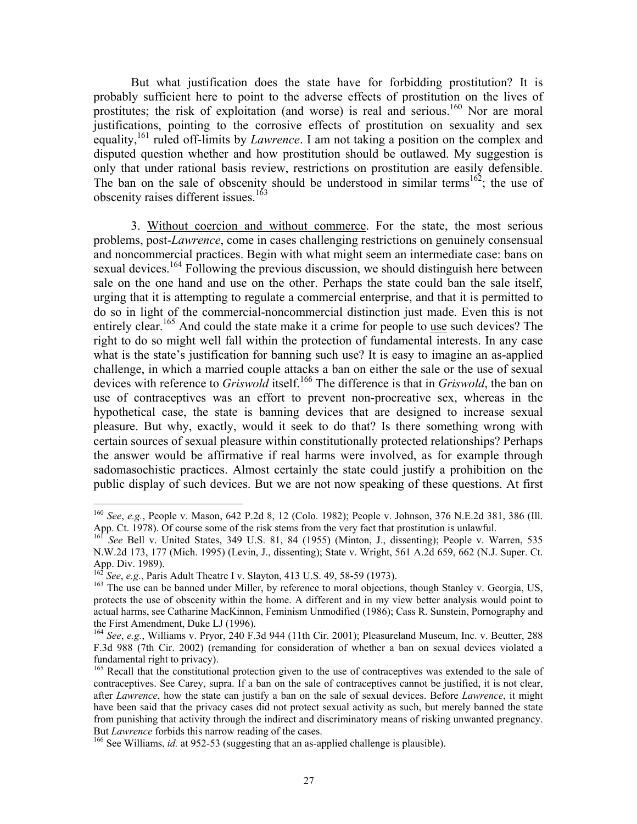But what justification does the state have for forbidding prostitution? It is probably sufficient here to point to the adverse effects of prostitution on the lives of prostitutes; the risk of exploitation (and worse) is real and serious.<sup>160</sup> Nor are moral justifications, pointing to the corrosive effects of prostitution on sexuality and sex equality,[161 r](#page-28-1)uled off-limits by *Lawrence*. I am not taking a position on the complex and disputed question whether and how prostitution should be outlawed. My suggestion is only that under rational basis review, restrictions on prostitution are easily defensible. The ban on the sale of obscenity should be understood in similar terms<sup>162</sup>; the use of obscenity raises different issues.<sup>[163](#page-28-3)</sup>

3. Without coercion and without commerce. For the state, the most serious problems, post-*Lawrence*, come in cases challenging restrictions on genuinely consensual and noncommercial practices. Begin with what might seem an intermediate case: bans on sexual devices.<sup>164</sup> Following the previous discussion, we should distinguish here between sale on the one hand and use on the other. Perhaps the state could ban the sale itself, urging that it is attempting to regulate a commercial enterprise, and that it is permitted to do so in light of the commercial-noncommercial distinction just made. Even this is not entirely clear.<sup>165</sup> And could the state make it a crime for people to use such devices? The right to do so might well fall within the protection of fundamental interests. In any case what is the state's justification for banning such use? It is easy to imagine an as-applied challenge, in which a married couple attacks a ban on either the sale or the use of sexual devices with reference to *Griswold* itself. [166 T](#page-28-6)he difference is that in *Griswold*, the ban on use of contraceptives was an effort to prevent non-procreative sex, whereas in the hypothetical case, the state is banning devices that are designed to increase sexual pleasure. But why, exactly, would it seek to do that? Is there something wrong with certain sources of sexual pleasure within constitutionally protected relationships? Perhaps the answer would be affirmative if real harms were involved, as for example through sadomasochistic practices. Almost certainly the state could justify a prohibition on the public display of such devices. But we are not now speaking of these questions. At first

<span id="page-28-0"></span><sup>160</sup> *See*, *e.g.*, People v. Mason, 642 P.2d 8, 12 (Colo. 1982); People v. Johnson, 376 N.E.2d 381, 386 (Ill. App. Ct. 1978). Of course some of the risk stems from the very fact that prostitution is unlawful.<br><sup>161</sup> *See* Bell v. United States, 349 U.S. 81, 84 (1955) (Minton, J., dissenting); People v. Warren, 535

<span id="page-28-1"></span>N.W.2d 173, 177 (Mich. 1995) (Levin, J., dissenting); State v. Wright, 561 A.2d 659, 662 (N.J. Super. Ct.<br>App. Div. 1989).<br><sup>162</sup> See a.g. Paris Adult Theody: J.r. Sky (19.19.19. 19.59.59. 19.253)

<span id="page-28-3"></span><span id="page-28-2"></span>

<sup>&</sup>lt;sup>162</sup> *See*, *e.g.*, Paris Adult Theatre I v. Slayton, 413 U.S. 49, 58-59 (1973).<br><sup>163</sup> The use can be banned under Miller, by reference to moral objections, though Stanley v. Georgia, US, protects the use of obscenity within the home. A different and in my view better analysis would point to actual harms, see Catharine MacKinnon, Feminism Unmodified (1986); Cass R. Sunstein, Pornography and the First Amendment, Duke LJ (1996).<br><sup>164</sup> *See*, *e.g.*, Williams v. Pryor, 240 F.3d 944 (11th Cir. 2001); Pleasureland Museum, Inc. v. Beutter, 288

<span id="page-28-4"></span>F.3d 988 (7th Cir. 2002) (remanding for consideration of whether a ban on sexual devices violated a

<span id="page-28-5"></span> $^{165}$  Recall that the constitutional protection given to the use of contraceptives was extended to the sale of contraceptives. See Carey, supra. If a ban on the sale of contraceptives cannot be justified, it is not clear, after *Lawrence*, how the state can justify a ban on the sale of sexual devices. Before *Lawrence*, it might have been said that the privacy cases did not protect sexual activity as such, but merely banned the state from punishing that activity through the indirect and discriminatory means of risking unwanted pregnancy. But *Lawrence* forbids this narrow reading of the cases.<br><sup>166</sup> See Williams, *id.* at 952-53 (suggesting that an as-applied challenge is plausible).

<span id="page-28-6"></span>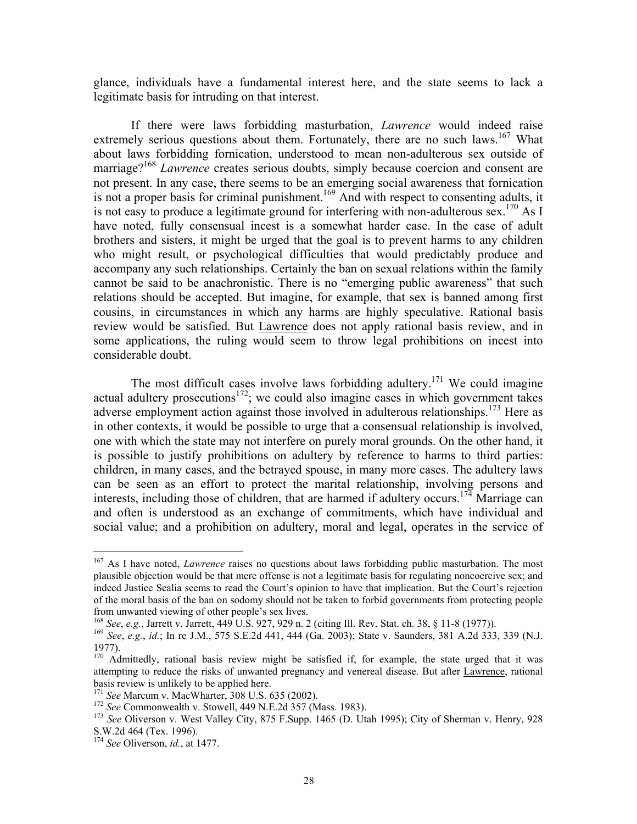glance, individuals have a fundamental interest here, and the state seems to lack a legitimate basis for intruding on that interest.

If there were laws forbidding masturbation, *Lawrence* would indeed raise extremely serious questions about them. Fortunately, there are no such laws.<sup>167</sup> What about laws forbidding fornication, understood to mean non-adulterous sex outside of marriage?<sup>[168](#page-29-1)</sup> *Lawrence* creates serious doubts, simply because coercion and consent are not present. In any case, there seems to be an emerging social awareness that fornication is not a proper basis for criminal punishment.<sup>169</sup> And with respect to consenting adults, it is not easy to produce a legitimate ground for interfering with non-adulterous sex.<sup>170</sup> As I have noted, fully consensual incest is a somewhat harder case. In the case of adult brothers and sisters, it might be urged that the goal is to prevent harms to any children who might result, or psychological difficulties that would predictably produce and accompany any such relationships. Certainly the ban on sexual relations within the family cannot be said to be anachronistic. There is no "emerging public awareness" that such relations should be accepted. But imagine, for example, that sex is banned among first cousins, in circumstances in which any harms are highly speculative. Rational basis review would be satisfied. But Lawrence does not apply rational basis review, and in some applications, the ruling would seem to throw legal prohibitions on incest into considerable doubt.

The most difficult cases involve laws forbidding adultery.<sup>171</sup> We could imagine  $\frac{1}{2}$  actual adultery prosecutions<sup>172</sup>; we could also imagine cases in which government takes adverse employment action against those involved in adulterous relationships.<sup>173</sup> Here as in other contexts, it would be possible to urge that a consensual relationship is involved, one with which the state may not interfere on purely moral grounds. On the other hand, it is possible to justify prohibitions on adultery by reference to harms to third parties: children, in many cases, and the betrayed spouse, in many more cases. The adultery laws can be seen as an effort to protect the marital relationship, involving persons and interests, including those of children, that are harmed if adultery occurs.[174 M](#page-29-7)arriage can and often is understood as an exchange of commitments, which have individual and social value; and a prohibition on adultery, moral and legal, operates in the service of

<span id="page-29-0"></span><sup>167</sup> As I have noted, *Lawrence* raises no questions about laws forbidding public masturbation. The most plausible objection would be that mere offense is not a legitimate basis for regulating noncoercive sex; and indeed Justice Scalia seems to read the Court's opinion to have that implication. But the Court's rejection of the moral basis of the ban on sodomy should not be taken to forbid governments from protecting people from unwanted viewing of other people's sex lives.<br><sup>168</sup> See, e.g., Jarrett v. Jarrett, 449 U.S. 927, 929 n. 2 (citing Ill. Rev. Stat. ch. 38, § 11-8 (1977)).<br><sup>169</sup> See, e.g., *id.*; In re J.M., 575 S.E.2d 441, 444 (Ga. 20

<span id="page-29-1"></span>

<span id="page-29-2"></span><sup>1977).</sup> 

<span id="page-29-3"></span><sup>&</sup>lt;sup>170</sup> Admittedly, rational basis review might be satisfied if, for example, the state urged that it was attempting to reduce the risks of unwanted pregnancy and venereal disease. But after Lawrence, rational basis review is unlikely to be applied here.<br>
<sup>171</sup> See Marcum v. MacWharter, 308 U.S. 635 (2002).<br>
<sup>172</sup> See Commonwealth v. Stowell, 449 N.E.2d 357 (Mass. 1983).<br>
<sup>173</sup> See Oliverson v. West Valley City, 875 F.Supp. 1465

<span id="page-29-4"></span>

<span id="page-29-5"></span>

<span id="page-29-6"></span>S.W.2d 464 (Tex. 1996). 174 *See* Oliverson, *id.*, at 1477.

<span id="page-29-7"></span>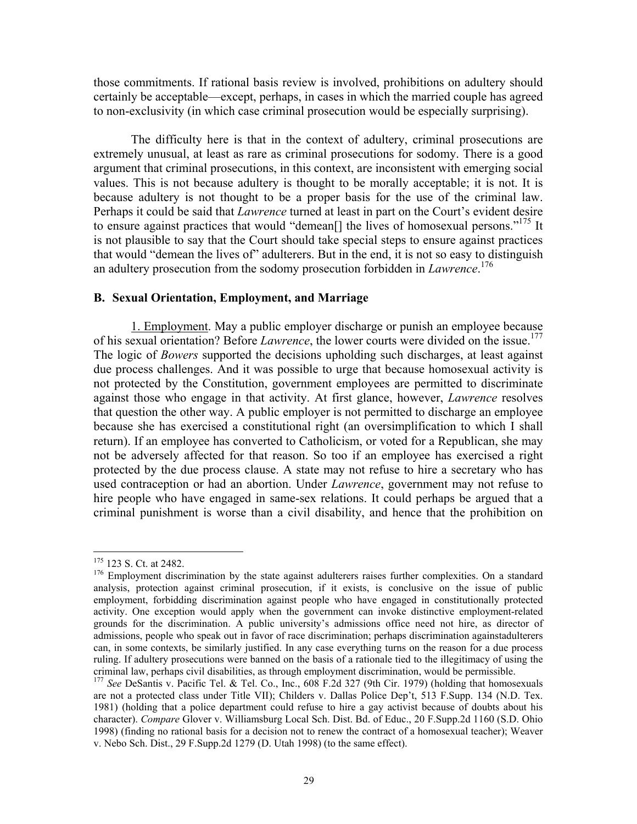those commitments. If rational basis review is involved, prohibitions on adultery should certainly be acceptable—except, perhaps, in cases in which the married couple has agreed to non-exclusivity (in which case criminal prosecution would be especially surprising).

The difficulty here is that in the context of adultery, criminal prosecutions are extremely unusual, at least as rare as criminal prosecutions for sodomy. There is a good argument that criminal prosecutions, in this context, are inconsistent with emerging social values. This is not because adultery is thought to be morally acceptable; it is not. It is because adultery is not thought to be a proper basis for the use of the criminal law. Perhaps it could be said that *Lawrence* turned at least in part on the Court's evident desire to ensure against practices that would "demean<sup>[]</sup> the lives of homosexual persons."<sup>175</sup> It is not plausible to say that the Court should take special steps to ensure against practices that would "demean the lives of" adulterers. But in the end, it is not so easy to distinguish an adultery prosecution from the sodomy prosecution forbidden in *Lawrence*. [176](#page-30-1) 

#### **B. Sexual Orientation, Employment, and Marriage**

1. Employment. May a public employer discharge or punish an employee because of his sexual orientation? Before *Lawrence*, the lower courts were divided on the issue[.177](#page-30-2) The logic of *Bowers* supported the decisions upholding such discharges, at least against due process challenges. And it was possible to urge that because homosexual activity is not protected by the Constitution, government employees are permitted to discriminate against those who engage in that activity. At first glance, however, *Lawrence* resolves that question the other way. A public employer is not permitted to discharge an employee because she has exercised a constitutional right (an oversimplification to which I shall return). If an employee has converted to Catholicism, or voted for a Republican, she may not be adversely affected for that reason. So too if an employee has exercised a right protected by the due process clause. A state may not refuse to hire a secretary who has used contraception or had an abortion. Under *Lawrence*, government may not refuse to hire people who have engaged in same-sex relations. It could perhaps be argued that a criminal punishment is worse than a civil disability, and hence that the prohibition on

<span id="page-30-0"></span><sup>&</sup>lt;sup>175</sup> 123 S. Ct. at 2482.

<span id="page-30-1"></span> $176$  Employment discrimination by the state against adulterers raises further complexities. On a standard analysis, protection against criminal prosecution, if it exists, is conclusive on the issue of public employment, forbidding discrimination against people who have engaged in constitutionally protected activity. One exception would apply when the government can invoke distinctive employment-related grounds for the discrimination. A public university's admissions office need not hire, as director of admissions, people who speak out in favor of race discrimination; perhaps discrimination againstadulterers can, in some contexts, be similarly justified. In any case everything turns on the reason for a due process ruling. If adultery prosecutions were banned on the basis of a rationale tied to the illegitimacy of using the criminal law, perhaps civil disabilities, as through employment discrimination, would be permissible.

<span id="page-30-2"></span><sup>&</sup>lt;sup>177</sup> See DeSantis v. Pacific Tel. & Tel. Co., Inc., 608 F.2d 327 (9th Cir. 1979) (holding that homosexuals are not a protected class under Title VII); Childers v. Dallas Police Dep't, 513 F.Supp. 134 (N.D. Tex. 1981) (holding that a police department could refuse to hire a gay activist because of doubts about his character). *Compare* Glover v. Williamsburg Local Sch. Dist. Bd. of Educ., 20 F.Supp.2d 1160 (S.D. Ohio 1998) (finding no rational basis for a decision not to renew the contract of a homosexual teacher); Weaver v. Nebo Sch. Dist., 29 F.Supp.2d 1279 (D. Utah 1998) (to the same effect).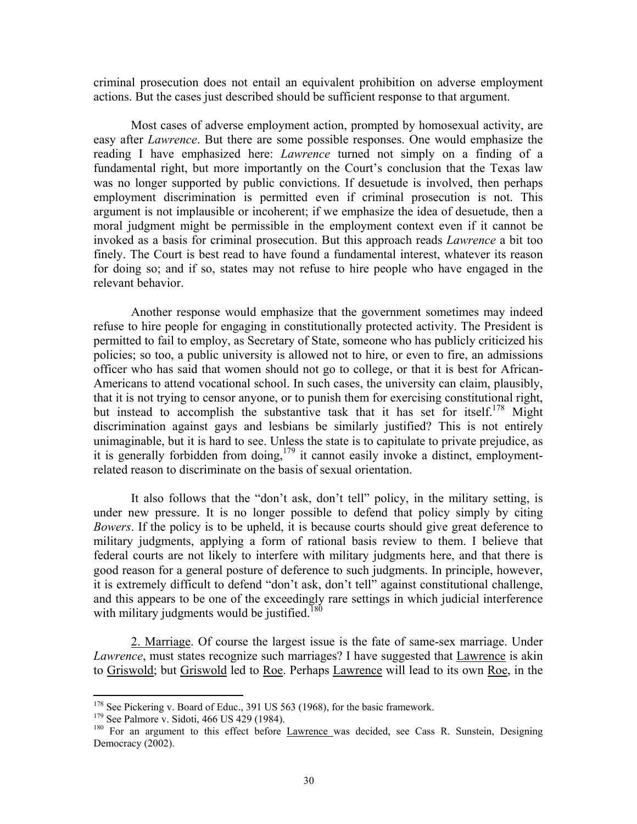criminal prosecution does not entail an equivalent prohibition on adverse employment actions. But the cases just described should be sufficient response to that argument.

Most cases of adverse employment action, prompted by homosexual activity, are easy after *Lawrence*. But there are some possible responses. One would emphasize the reading I have emphasized here: *Lawrence* turned not simply on a finding of a fundamental right, but more importantly on the Court's conclusion that the Texas law was no longer supported by public convictions. If desuetude is involved, then perhaps employment discrimination is permitted even if criminal prosecution is not. This argument is not implausible or incoherent; if we emphasize the idea of desuetude, then a moral judgment might be permissible in the employment context even if it cannot be invoked as a basis for criminal prosecution. But this approach reads *Lawrence* a bit too finely. The Court is best read to have found a fundamental interest, whatever its reason for doing so; and if so, states may not refuse to hire people who have engaged in the relevant behavior.

Another response would emphasize that the government sometimes may indeed refuse to hire people for engaging in constitutionally protected activity. The President is permitted to fail to employ, as Secretary of State, someone who has publicly criticized his policies; so too, a public university is allowed not to hire, or even to fire, an admissions officer who has said that women should not go to college, or that it is best for African-Americans to attend vocational school. In such cases, the university can claim, plausibly, that it is not trying to censor anyone, or to punish them for exercising constitutional right, but instead to accomplish the substantive task that it has set for itself.<sup>178</sup> Might discrimination against gays and lesbians be similarly justified? This is not entirely unimaginable, but it is hard to see. Unless the state is to capitulate to private prejudice, as it is generally forbidden from doing,<sup>179</sup> it cannot easily invoke a distinct, employmentrelated reason to discriminate on the basis of sexual orientation.

It also follows that the "don't ask, don't tell" policy, in the military setting, is under new pressure. It is no longer possible to defend that policy simply by citing *Bowers*. If the policy is to be upheld, it is because courts should give great deference to military judgments, applying a form of rational basis review to them. I believe that federal courts are not likely to interfere with military judgments here, and that there is good reason for a general posture of deference to such judgments. In principle, however, it is extremely difficult to defend "don't ask, don't tell" against constitutional challenge, and this appears to be one of the exceedingly rare settings in which judicial interference with military judgments would be justified.<sup>[180](#page-31-2)</sup>

2. Marriage. Of course the largest issue is the fate of same-sex marriage. Under *Lawrence*, must states recognize such marriages? I have suggested that Lawrence is akin to Griswold; but Griswold led to Roe. Perhaps Lawrence will lead to its own Roe, in the

<span id="page-31-0"></span><sup>&</sup>lt;sup>178</sup> See Pickering v. Board of Educ., 391 US 563 (1968), for the basic framework.

<span id="page-31-2"></span><span id="page-31-1"></span>

<sup>&</sup>lt;sup>179</sup> See Palmore v. Sidoti, 466 US 429 (1984). <sup>279</sup> See Palmore v. Sidoti, 466 US 429 (1984). <sup>180</sup> For an argument to this effect before Lawrence was decided, see Cass R. Sunstein, Designing Democracy (2002).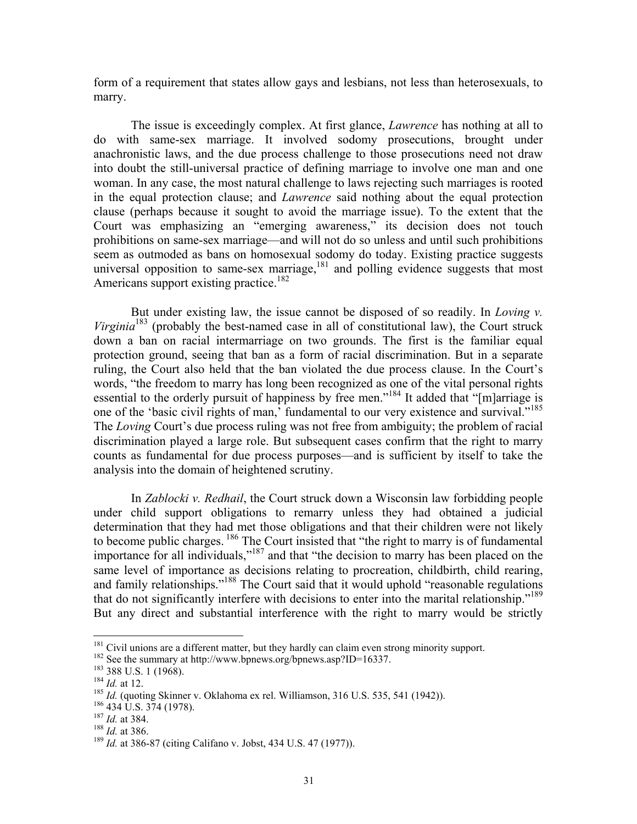form of a requirement that states allow gays and lesbians, not less than heterosexuals, to marry.

The issue is exceedingly complex. At first glance, *Lawrence* has nothing at all to do with same-sex marriage. It involved sodomy prosecutions, brought under anachronistic laws, and the due process challenge to those prosecutions need not draw into doubt the still-universal practice of defining marriage to involve one man and one woman. In any case, the most natural challenge to laws rejecting such marriages is rooted in the equal protection clause; and *Lawrence* said nothing about the equal protection clause (perhaps because it sought to avoid the marriage issue). To the extent that the Court was emphasizing an "emerging awareness," its decision does not touch prohibitions on same-sex marriage—and will not do so unless and until such prohibitions seem as outmoded as bans on homosexual sodomy do today. Existing practice suggests universal opposition to same-sex marriage,  $\frac{181}{2}$  and polling evidence suggests that most Americans support existing practice.<sup>[182](#page-32-1)</sup>

But under existing law, the issue cannot be disposed of so readily. In *Loving v. Virginia*<sup>183</sup> (probably the best-named case in all of constitutional law), the Court struck down a ban on racial intermarriage on two grounds. The first is the familiar equal protection ground, seeing that ban as a form of racial discrimination. But in a separate ruling, the Court also held that the ban violated the due process clause. In the Court's words, "the freedom to marry has long been recognized as one of the vital personal rights essential to the orderly pursuit of happiness by free men."<sup>184</sup> It added that "[m]arriage is one of the 'basic civil rights of man,' fundamental to our very existence and survival."<sup>[185](#page-32-4)</sup> The *Loving* Court's due process ruling was not free from ambiguity; the problem of racial discrimination played a large role. But subsequent cases confirm that the right to marry counts as fundamental for due process purposes—and is sufficient by itself to take the analysis into the domain of heightened scrutiny.

In *Zablocki v. Redhail*, the Court struck down a Wisconsin law forbidding people under child support obligations to remarry unless they had obtained a judicial determination that they had met those obligations and that their children were not likely to become public charges. <sup>186</sup> The Court insisted that "the right to marry is of fundamental importance for all individuals,["187 a](#page-32-6)nd that "the decision to marry has been placed on the same level of importance as decisions relating to procreation, childbirth, child rearing, and family relationships."<sup>188</sup> The Court said that it would uphold "reasonable regulations" that do not significantly interfere with decisions to enter into the marital relationship."<sup>189</sup> But any direct and substantial interference with the right to marry would be strictly

<span id="page-32-0"></span> $^{181}$  Civil unions are a different matter, but they hardly can claim even strong minority support.

<span id="page-32-1"></span>

<span id="page-32-2"></span>

<span id="page-32-4"></span><span id="page-32-3"></span>

<sup>&</sup>lt;sup>182</sup> See the summary at http://www.bpnews.org/bpnews.asp?ID=16337.<br><sup>183</sup> 388 U.S. 1 (1968).<br><sup>184</sup> *Id.* at 12.<br><sup>185</sup> *Id.* (quoting Skinner v. Oklahoma ex rel. Williamson, 316 U.S. 535, 541 (1942)).<br><sup>186</sup> 434 U.S. 374 (1

<span id="page-32-5"></span>

<span id="page-32-6"></span>

<span id="page-32-7"></span>

<span id="page-32-8"></span>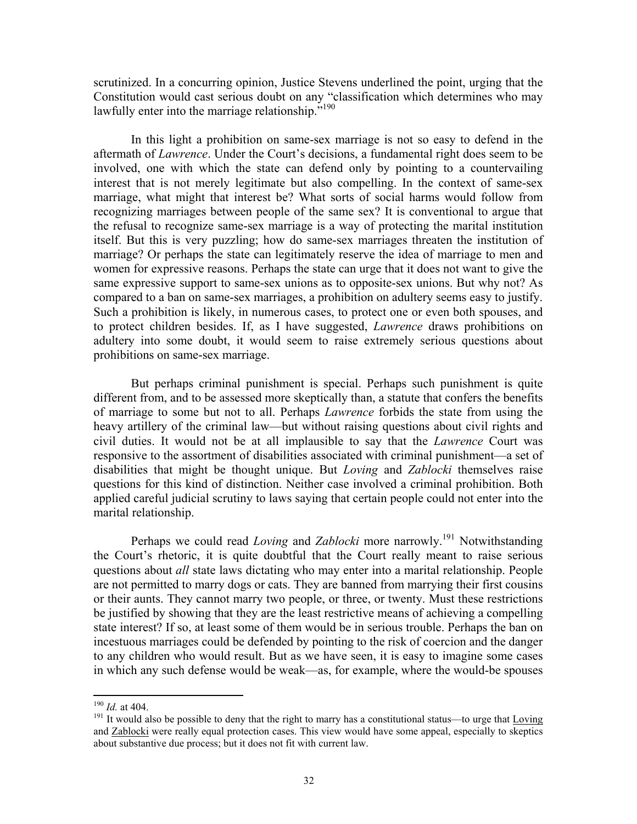scrutinized. In a concurring opinion, Justice Stevens underlined the point, urging that the Constitution would cast serious doubt on any "classification which determines who may lawfully enter into the marriage relationship."<sup>[190](#page-33-0)</sup>

In this light a prohibition on same-sex marriage is not so easy to defend in the aftermath of *Lawrence*. Under the Court's decisions, a fundamental right does seem to be involved, one with which the state can defend only by pointing to a countervailing interest that is not merely legitimate but also compelling. In the context of same-sex marriage, what might that interest be? What sorts of social harms would follow from recognizing marriages between people of the same sex? It is conventional to argue that the refusal to recognize same-sex marriage is a way of protecting the marital institution itself. But this is very puzzling; how do same-sex marriages threaten the institution of marriage? Or perhaps the state can legitimately reserve the idea of marriage to men and women for expressive reasons. Perhaps the state can urge that it does not want to give the same expressive support to same-sex unions as to opposite-sex unions. But why not? As compared to a ban on same-sex marriages, a prohibition on adultery seems easy to justify. Such a prohibition is likely, in numerous cases, to protect one or even both spouses, and to protect children besides. If, as I have suggested, *Lawrence* draws prohibitions on adultery into some doubt, it would seem to raise extremely serious questions about prohibitions on same-sex marriage.

But perhaps criminal punishment is special. Perhaps such punishment is quite different from, and to be assessed more skeptically than, a statute that confers the benefits of marriage to some but not to all. Perhaps *Lawrence* forbids the state from using the heavy artillery of the criminal law—but without raising questions about civil rights and civil duties. It would not be at all implausible to say that the *Lawrence* Court was responsive to the assortment of disabilities associated with criminal punishment—a set of disabilities that might be thought unique. But *Loving* and *Zablocki* themselves raise questions for this kind of distinction. Neither case involved a criminal prohibition. Both applied careful judicial scrutiny to laws saying that certain people could not enter into the marital relationship.

Perhaps we could read *Loving* and *Zablocki* more narrowly.<sup>191</sup> Notwithstanding the Court's rhetoric, it is quite doubtful that the Court really meant to raise serious questions about *all* state laws dictating who may enter into a marital relationship. People are not permitted to marry dogs or cats. They are banned from marrying their first cousins or their aunts. They cannot marry two people, or three, or twenty. Must these restrictions be justified by showing that they are the least restrictive means of achieving a compelling state interest? If so, at least some of them would be in serious trouble. Perhaps the ban on incestuous marriages could be defended by pointing to the risk of coercion and the danger to any children who would result. But as we have seen, it is easy to imagine some cases in which any such defense would be weak—as, for example, where the would-be spouses

<span id="page-33-0"></span> $190$  *Id.* at 404.

<span id="page-33-1"></span><sup>&</sup>lt;sup>191</sup> It would also be possible to deny that the right to marry has a constitutional status—to urge that Loving and Zablocki were really equal protection cases. This view would have some appeal, especially to skeptics about substantive due process; but it does not fit with current law.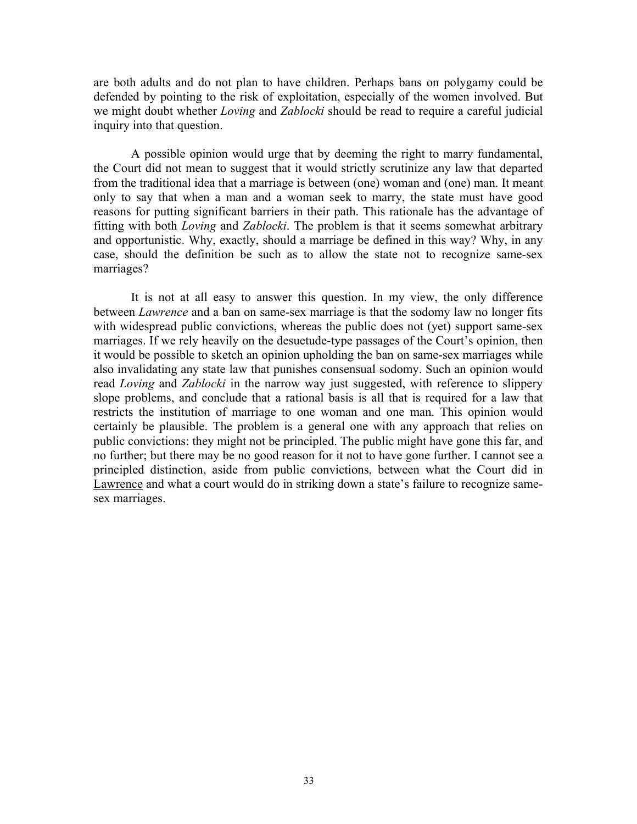are both adults and do not plan to have children. Perhaps bans on polygamy could be defended by pointing to the risk of exploitation, especially of the women involved. But we might doubt whether *Loving* and *Zablocki* should be read to require a careful judicial inquiry into that question.

A possible opinion would urge that by deeming the right to marry fundamental, the Court did not mean to suggest that it would strictly scrutinize any law that departed from the traditional idea that a marriage is between (one) woman and (one) man. It meant only to say that when a man and a woman seek to marry, the state must have good reasons for putting significant barriers in their path. This rationale has the advantage of fitting with both *Loving* and *Zablocki*. The problem is that it seems somewhat arbitrary and opportunistic. Why, exactly, should a marriage be defined in this way? Why, in any case, should the definition be such as to allow the state not to recognize same-sex marriages?

It is not at all easy to answer this question. In my view, the only difference between *Lawrence* and a ban on same-sex marriage is that the sodomy law no longer fits with widespread public convictions, whereas the public does not (yet) support same-sex marriages. If we rely heavily on the desuetude-type passages of the Court's opinion, then it would be possible to sketch an opinion upholding the ban on same-sex marriages while also invalidating any state law that punishes consensual sodomy. Such an opinion would read *Loving* and *Zablocki* in the narrow way just suggested, with reference to slippery slope problems, and conclude that a rational basis is all that is required for a law that restricts the institution of marriage to one woman and one man. This opinion would certainly be plausible. The problem is a general one with any approach that relies on public convictions: they might not be principled. The public might have gone this far, and no further; but there may be no good reason for it not to have gone further. I cannot see a principled distinction, aside from public convictions, between what the Court did in Lawrence and what a court would do in striking down a state's failure to recognize samesex marriages.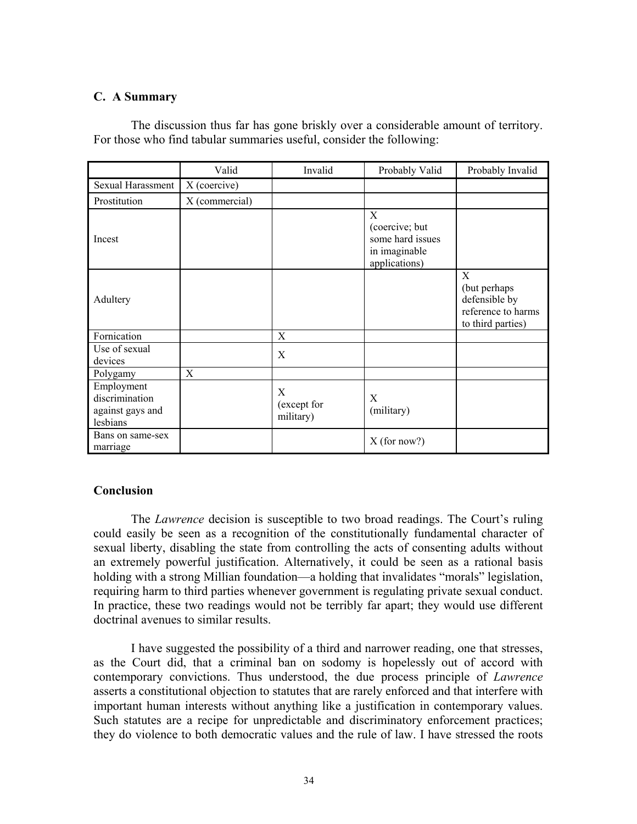#### **C. A Summary**

The discussion thus far has gone briskly over a considerable amount of territory. For those who find tabular summaries useful, consider the following:

|                                                              | Valid          | Invalid                       | Probably Valid                                                            | Probably Invalid                                                               |
|--------------------------------------------------------------|----------------|-------------------------------|---------------------------------------------------------------------------|--------------------------------------------------------------------------------|
| Sexual Harassment                                            | X (coercive)   |                               |                                                                           |                                                                                |
| Prostitution                                                 | X (commercial) |                               |                                                                           |                                                                                |
| Incest                                                       |                |                               | X<br>(coercive; but<br>some hard issues<br>in imaginable<br>applications) |                                                                                |
| Adultery                                                     |                |                               |                                                                           | X<br>(but perhaps)<br>defensible by<br>reference to harms<br>to third parties) |
| Fornication                                                  |                | X                             |                                                                           |                                                                                |
| Use of sexual<br>devices                                     |                | X                             |                                                                           |                                                                                |
| Polygamy                                                     | X              |                               |                                                                           |                                                                                |
| Employment<br>discrimination<br>against gays and<br>lesbians |                | X<br>(except for<br>military) | X<br>(military)                                                           |                                                                                |
| Bans on same-sex<br>marriage                                 |                |                               | $X$ (for now?)                                                            |                                                                                |

#### **Conclusion**

The *Lawrence* decision is susceptible to two broad readings. The Court's ruling could easily be seen as a recognition of the constitutionally fundamental character of sexual liberty, disabling the state from controlling the acts of consenting adults without an extremely powerful justification. Alternatively, it could be seen as a rational basis holding with a strong Millian foundation—a holding that invalidates "morals" legislation, requiring harm to third parties whenever government is regulating private sexual conduct. In practice, these two readings would not be terribly far apart; they would use different doctrinal avenues to similar results.

I have suggested the possibility of a third and narrower reading, one that stresses, as the Court did, that a criminal ban on sodomy is hopelessly out of accord with contemporary convictions. Thus understood, the due process principle of *Lawrence* asserts a constitutional objection to statutes that are rarely enforced and that interfere with important human interests without anything like a justification in contemporary values. Such statutes are a recipe for unpredictable and discriminatory enforcement practices; they do violence to both democratic values and the rule of law. I have stressed the roots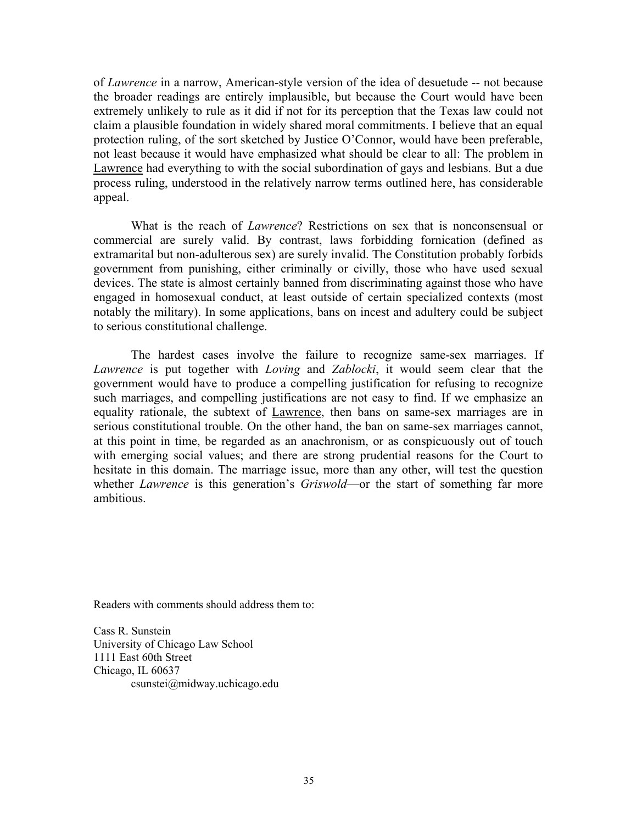of *Lawrence* in a narrow, American-style version of the idea of desuetude -- not because the broader readings are entirely implausible, but because the Court would have been extremely unlikely to rule as it did if not for its perception that the Texas law could not claim a plausible foundation in widely shared moral commitments. I believe that an equal protection ruling, of the sort sketched by Justice O'Connor, would have been preferable, not least because it would have emphasized what should be clear to all: The problem in Lawrence had everything to with the social subordination of gays and lesbians. But a due process ruling, understood in the relatively narrow terms outlined here, has considerable appeal.

What is the reach of *Lawrence*? Restrictions on sex that is nonconsensual or commercial are surely valid. By contrast, laws forbidding fornication (defined as extramarital but non-adulterous sex) are surely invalid. The Constitution probably forbids government from punishing, either criminally or civilly, those who have used sexual devices. The state is almost certainly banned from discriminating against those who have engaged in homosexual conduct, at least outside of certain specialized contexts (most notably the military). In some applications, bans on incest and adultery could be subject to serious constitutional challenge.

The hardest cases involve the failure to recognize same-sex marriages. If *Lawrence* is put together with *Loving* and *Zablocki*, it would seem clear that the government would have to produce a compelling justification for refusing to recognize such marriages, and compelling justifications are not easy to find. If we emphasize an equality rationale, the subtext of Lawrence, then bans on same-sex marriages are in serious constitutional trouble. On the other hand, the ban on same-sex marriages cannot, at this point in time, be regarded as an anachronism, or as conspicuously out of touch with emerging social values; and there are strong prudential reasons for the Court to hesitate in this domain. The marriage issue, more than any other, will test the question whether *Lawrence* is this generation's *Griswold*—or the start of something far more ambitious.

Readers with comments should address them to:

Cass R. Sunstein University of Chicago Law School 1111 East 60th Street Chicago, IL 60637 csunstei@midway.uchicago.edu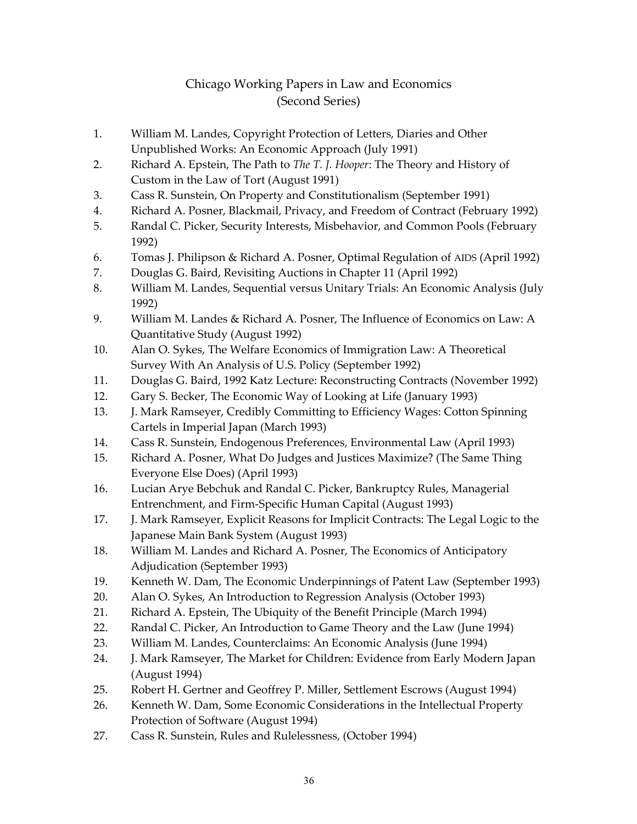## Chicago Working Papers in Law and Economics (Second Series)

- 1. William M. Landes, Copyright Protection of Letters, Diaries and Other Unpublished Works: An Economic Approach (July 1991)
- 2. Richard A. Epstein, The Path to *The T. J. Hooper*: The Theory and History of Custom in the Law of Tort (August 1991)
- 3. Cass R. Sunstein, On Property and Constitutionalism (September 1991)
- 4. Richard A. Posner, Blackmail, Privacy, and Freedom of Contract (February 1992)
- 5. Randal C. Picker, Security Interests, Misbehavior, and Common Pools (February 1992)
- 6. Tomas J. Philipson & Richard A. Posner, Optimal Regulation of AIDS (April 1992)
- 7. Douglas G. Baird, Revisiting Auctions in Chapter 11 (April 1992)
- 8. William M. Landes, Sequential versus Unitary Trials: An Economic Analysis (July 1992)
- 9. William M. Landes & Richard A. Posner, The Influence of Economics on Law: A Quantitative Study (August 1992)
- 10. Alan O. Sykes, The Welfare Economics of Immigration Law: A Theoretical Survey With An Analysis of U.S. Policy (September 1992)
- 11. Douglas G. Baird, 1992 Katz Lecture: Reconstructing Contracts (November 1992)
- 12. Gary S. Becker, The Economic Way of Looking at Life (January 1993)
- 13. J. Mark Ramseyer, Credibly Committing to Efficiency Wages: Cotton Spinning Cartels in Imperial Japan (March 1993)
- 14. Cass R. Sunstein, Endogenous Preferences, Environmental Law (April 1993)
- 15. Richard A. Posner, What Do Judges and Justices Maximize? (The Same Thing Everyone Else Does) (April 1993)
- 16. Lucian Arye Bebchuk and Randal C. Picker, Bankruptcy Rules, Managerial Entrenchment, and Firm-Specific Human Capital (August 1993)
- 17. J. Mark Ramseyer, Explicit Reasons for Implicit Contracts: The Legal Logic to the Japanese Main Bank System (August 1993)
- 18. William M. Landes and Richard A. Posner, The Economics of Anticipatory Adjudication (September 1993)
- 19. Kenneth W. Dam, The Economic Underpinnings of Patent Law (September 1993)
- 20. Alan O. Sykes, An Introduction to Regression Analysis (October 1993)
- 21. Richard A. Epstein, The Ubiquity of the Benefit Principle (March 1994)
- 22. Randal C. Picker, An Introduction to Game Theory and the Law (June 1994)
- 23. William M. Landes, Counterclaims: An Economic Analysis (June 1994)
- 24. J. Mark Ramseyer, The Market for Children: Evidence from Early Modern Japan (August 1994)
- 25. Robert H. Gertner and Geoffrey P. Miller, Settlement Escrows (August 1994)
- 26. Kenneth W. Dam, Some Economic Considerations in the Intellectual Property Protection of Software (August 1994)
- 27. Cass R. Sunstein, Rules and Rulelessness, (October 1994)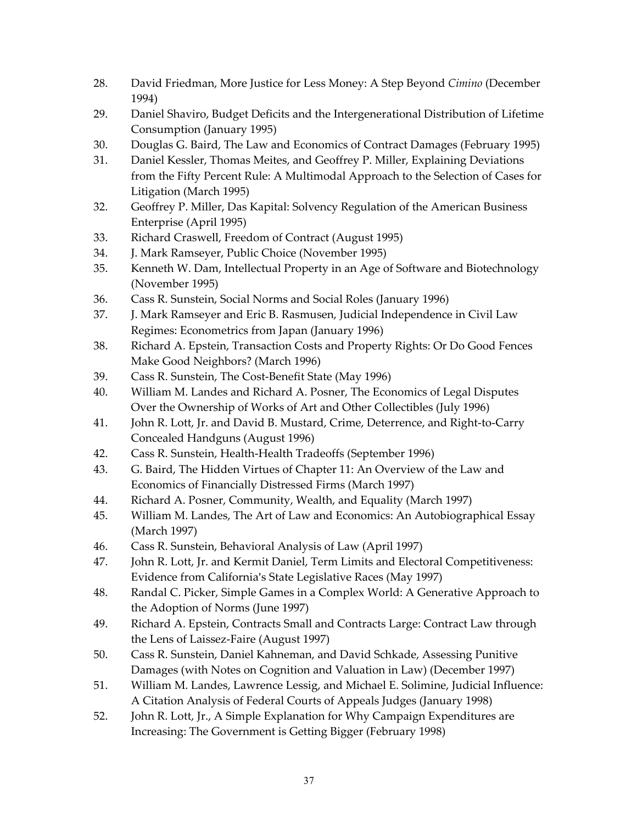- 28. David Friedman, More Justice for Less Money: A Step Beyond *Cimino* (December 1994)
- 29. Daniel Shaviro, Budget Deficits and the Intergenerational Distribution of Lifetime Consumption (January 1995)
- 30. Douglas G. Baird, The Law and Economics of Contract Damages (February 1995)
- 31. Daniel Kessler, Thomas Meites, and Geoffrey P. Miller, Explaining Deviations from the Fifty Percent Rule: A Multimodal Approach to the Selection of Cases for Litigation (March 1995)
- 32. Geoffrey P. Miller, Das Kapital: Solvency Regulation of the American Business Enterprise (April 1995)
- 33. Richard Craswell, Freedom of Contract (August 1995)
- 34. J. Mark Ramseyer, Public Choice (November 1995)
- 35. Kenneth W. Dam, Intellectual Property in an Age of Software and Biotechnology (November 1995)
- 36. Cass R. Sunstein, Social Norms and Social Roles (January 1996)
- 37. J. Mark Ramseyer and Eric B. Rasmusen, Judicial Independence in Civil Law Regimes: Econometrics from Japan (January 1996)
- 38. Richard A. Epstein, Transaction Costs and Property Rights: Or Do Good Fences Make Good Neighbors? (March 1996)
- 39. Cass R. Sunstein, The Cost-Benefit State (May 1996)
- 40. William M. Landes and Richard A. Posner, The Economics of Legal Disputes Over the Ownership of Works of Art and Other Collectibles (July 1996)
- 41. John R. Lott, Jr. and David B. Mustard, Crime, Deterrence, and Right-to-Carry Concealed Handguns (August 1996)
- 42. Cass R. Sunstein, Health-Health Tradeoffs (September 1996)
- 43. G. Baird, The Hidden Virtues of Chapter 11: An Overview of the Law and Economics of Financially Distressed Firms (March 1997)
- 44. Richard A. Posner, Community, Wealth, and Equality (March 1997)
- 45. William M. Landes, The Art of Law and Economics: An Autobiographical Essay (March 1997)
- 46. Cass R. Sunstein, Behavioral Analysis of Law (April 1997)
- 47. John R. Lott, Jr. and Kermit Daniel, Term Limits and Electoral Competitiveness: Evidence from California's State Legislative Races (May 1997)
- 48. Randal C. Picker, Simple Games in a Complex World: A Generative Approach to the Adoption of Norms (June 1997)
- 49. Richard A. Epstein, Contracts Small and Contracts Large: Contract Law through the Lens of Laissez-Faire (August 1997)
- 50. Cass R. Sunstein, Daniel Kahneman, and David Schkade, Assessing Punitive Damages (with Notes on Cognition and Valuation in Law) (December 1997)
- 51. William M. Landes, Lawrence Lessig, and Michael E. Solimine, Judicial Influence: A Citation Analysis of Federal Courts of Appeals Judges (January 1998)
- 52. John R. Lott, Jr., A Simple Explanation for Why Campaign Expenditures are Increasing: The Government is Getting Bigger (February 1998)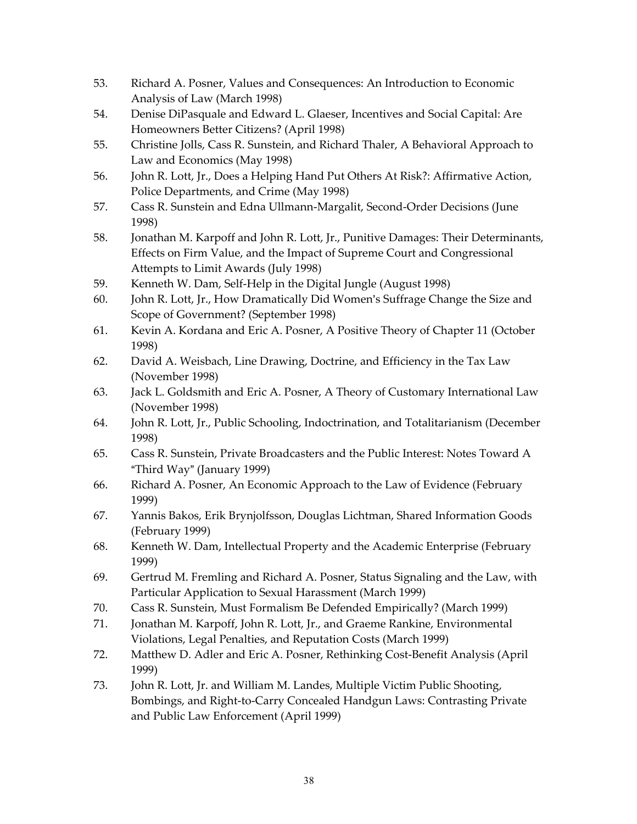- 53. Richard A. Posner, Values and Consequences: An Introduction to Economic Analysis of Law (March 1998)
- 54. Denise DiPasquale and Edward L. Glaeser, Incentives and Social Capital: Are Homeowners Better Citizens? (April 1998)
- 55. Christine Jolls, Cass R. Sunstein, and Richard Thaler, A Behavioral Approach to Law and Economics (May 1998)
- 56. John R. Lott, Jr., Does a Helping Hand Put Others At Risk?: Affirmative Action, Police Departments, and Crime (May 1998)
- 57. Cass R. Sunstein and Edna Ullmann-Margalit, Second-Order Decisions (June 1998)
- 58. Jonathan M. Karpoff and John R. Lott, Jr., Punitive Damages: Their Determinants, Effects on Firm Value, and the Impact of Supreme Court and Congressional Attempts to Limit Awards (July 1998)
- 59. Kenneth W. Dam, Self-Help in the Digital Jungle (August 1998)
- 60. John R. Lott, Jr., How Dramatically Did Women's Suffrage Change the Size and Scope of Government? (September 1998)
- 61. Kevin A. Kordana and Eric A. Posner, A Positive Theory of Chapter 11 (October 1998)
- 62. David A. Weisbach, Line Drawing, Doctrine, and Efficiency in the Tax Law (November 1998)
- 63. Jack L. Goldsmith and Eric A. Posner, A Theory of Customary International Law (November 1998)
- 64. John R. Lott, Jr., Public Schooling, Indoctrination, and Totalitarianism (December 1998)
- 65. Cass R. Sunstein, Private Broadcasters and the Public Interest: Notes Toward A "Third Way" (January 1999)
- 66. Richard A. Posner, An Economic Approach to the Law of Evidence (February 1999)
- 67. Yannis Bakos, Erik Brynjolfsson, Douglas Lichtman, Shared Information Goods (February 1999)
- 68. Kenneth W. Dam, Intellectual Property and the Academic Enterprise (February 1999)
- 69. Gertrud M. Fremling and Richard A. Posner, Status Signaling and the Law, with Particular Application to Sexual Harassment (March 1999)
- 70. Cass R. Sunstein, Must Formalism Be Defended Empirically? (March 1999)
- 71. Jonathan M. Karpoff, John R. Lott, Jr., and Graeme Rankine, Environmental Violations, Legal Penalties, and Reputation Costs (March 1999)
- 72. Matthew D. Adler and Eric A. Posner, Rethinking Cost-Benefit Analysis (April 1999)
- 73. John R. Lott, Jr. and William M. Landes, Multiple Victim Public Shooting, Bombings, and Right-to-Carry Concealed Handgun Laws: Contrasting Private and Public Law Enforcement (April 1999)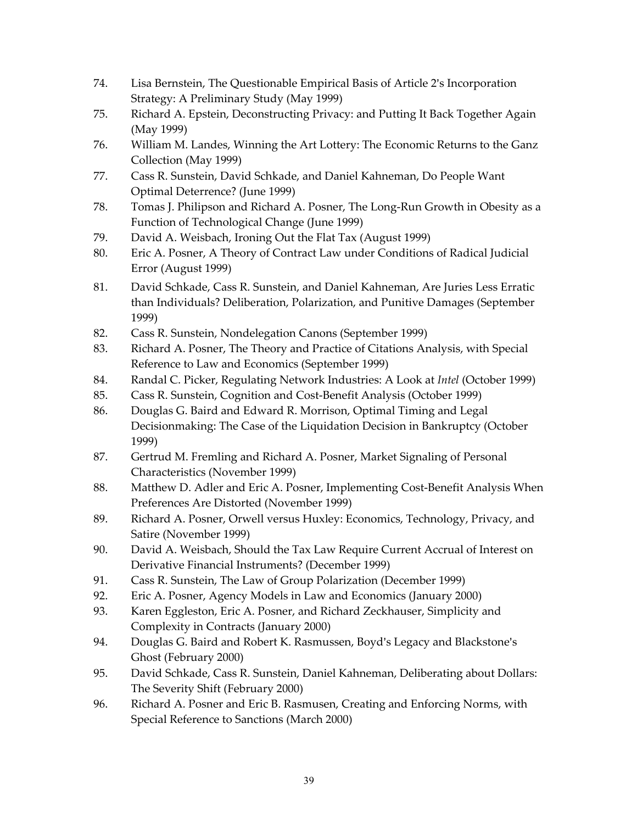- 74. Lisa Bernstein, The Questionable Empirical Basis of Article 2's Incorporation Strategy: A Preliminary Study (May 1999)
- 75. Richard A. Epstein, Deconstructing Privacy: and Putting It Back Together Again (May 1999)
- 76. William M. Landes, Winning the Art Lottery: The Economic Returns to the Ganz Collection (May 1999)
- 77. Cass R. Sunstein, David Schkade, and Daniel Kahneman, Do People Want Optimal Deterrence? (June 1999)
- 78. Tomas J. Philipson and Richard A. Posner, The Long-Run Growth in Obesity as a Function of Technological Change (June 1999)
- 79. David A. Weisbach, Ironing Out the Flat Tax (August 1999)
- 80. Eric A. Posner, A Theory of Contract Law under Conditions of Radical Judicial Error (August 1999)
- 81. David Schkade, Cass R. Sunstein, and Daniel Kahneman, Are Juries Less Erratic than Individuals? Deliberation, Polarization, and Punitive Damages (September 1999)
- 82. Cass R. Sunstein, Nondelegation Canons (September 1999)
- 83. Richard A. Posner, The Theory and Practice of Citations Analysis, with Special Reference to Law and Economics (September 1999)
- 84. Randal C. Picker, Regulating Network Industries: A Look at *Intel* (October 1999)
- 85. Cass R. Sunstein, Cognition and Cost-Benefit Analysis (October 1999)
- 86. Douglas G. Baird and Edward R. Morrison, Optimal Timing and Legal Decisionmaking: The Case of the Liquidation Decision in Bankruptcy (October 1999)
- 87. Gertrud M. Fremling and Richard A. Posner, Market Signaling of Personal Characteristics (November 1999)
- 88. Matthew D. Adler and Eric A. Posner, Implementing Cost-Benefit Analysis When Preferences Are Distorted (November 1999)
- 89. Richard A. Posner, Orwell versus Huxley: Economics, Technology, Privacy, and Satire (November 1999)
- 90. David A. Weisbach, Should the Tax Law Require Current Accrual of Interest on Derivative Financial Instruments? (December 1999)
- 91. Cass R. Sunstein, The Law of Group Polarization (December 1999)
- 92. Eric A. Posner, Agency Models in Law and Economics (January 2000)
- 93. Karen Eggleston, Eric A. Posner, and Richard Zeckhauser, Simplicity and Complexity in Contracts (January 2000)
- 94. Douglas G. Baird and Robert K. Rasmussen, Boyd's Legacy and Blackstone's Ghost (February 2000)
- 95. David Schkade, Cass R. Sunstein, Daniel Kahneman, Deliberating about Dollars: The Severity Shift (February 2000)
- 96. Richard A. Posner and Eric B. Rasmusen, Creating and Enforcing Norms, with Special Reference to Sanctions (March 2000)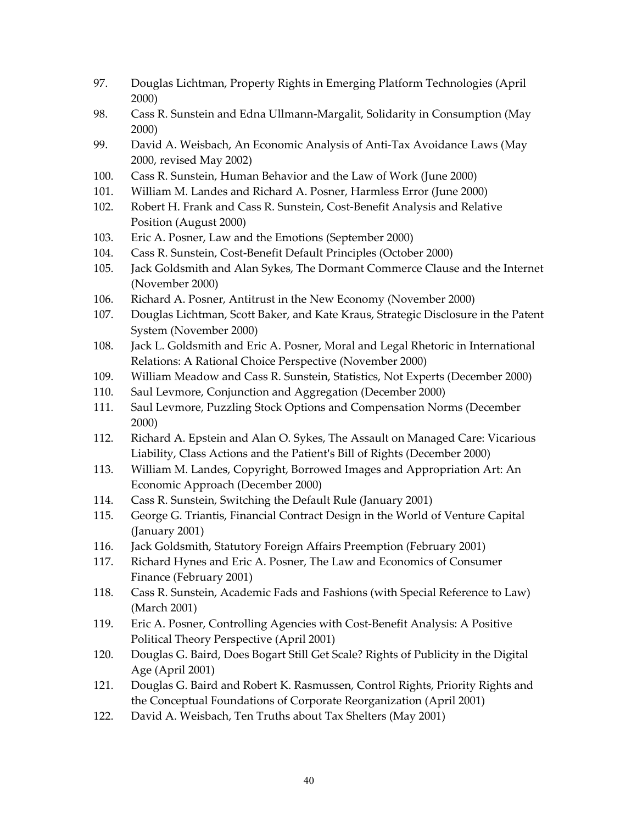- 97. Douglas Lichtman, Property Rights in Emerging Platform Technologies (April 2000)
- 98. Cass R. Sunstein and Edna Ullmann-Margalit, Solidarity in Consumption (May 2000)
- 99. David A. Weisbach, An Economic Analysis of Anti-Tax Avoidance Laws (May 2000, revised May 2002)
- 100. Cass R. Sunstein, Human Behavior and the Law of Work (June 2000)
- 101. William M. Landes and Richard A. Posner, Harmless Error (June 2000)
- 102. Robert H. Frank and Cass R. Sunstein, Cost-Benefit Analysis and Relative Position (August 2000)
- 103. Eric A. Posner, Law and the Emotions (September 2000)
- 104. Cass R. Sunstein, Cost-Benefit Default Principles (October 2000)
- 105. Jack Goldsmith and Alan Sykes, The Dormant Commerce Clause and the Internet (November 2000)
- 106. Richard A. Posner, Antitrust in the New Economy (November 2000)
- 107. Douglas Lichtman, Scott Baker, and Kate Kraus, Strategic Disclosure in the Patent System (November 2000)
- 108. Jack L. Goldsmith and Eric A. Posner, Moral and Legal Rhetoric in International Relations: A Rational Choice Perspective (November 2000)
- 109. William Meadow and Cass R. Sunstein, Statistics, Not Experts (December 2000)
- 110. Saul Levmore, Conjunction and Aggregation (December 2000)
- 111. Saul Levmore, Puzzling Stock Options and Compensation Norms (December 2000)
- 112. Richard A. Epstein and Alan O. Sykes, The Assault on Managed Care: Vicarious Liability, Class Actions and the Patient's Bill of Rights (December 2000)
- 113. William M. Landes, Copyright, Borrowed Images and Appropriation Art: An Economic Approach (December 2000)
- 114. Cass R. Sunstein, Switching the Default Rule (January 2001)
- 115. George G. Triantis, Financial Contract Design in the World of Venture Capital (January 2001)
- 116. Jack Goldsmith, Statutory Foreign Affairs Preemption (February 2001)
- 117. Richard Hynes and Eric A. Posner, The Law and Economics of Consumer Finance (February 2001)
- 118. Cass R. Sunstein, Academic Fads and Fashions (with Special Reference to Law) (March 2001)
- 119. Eric A. Posner, Controlling Agencies with Cost-Benefit Analysis: A Positive Political Theory Perspective (April 2001)
- 120. Douglas G. Baird, Does Bogart Still Get Scale? Rights of Publicity in the Digital Age (April 2001)
- 121. Douglas G. Baird and Robert K. Rasmussen, Control Rights, Priority Rights and the Conceptual Foundations of Corporate Reorganization (April 2001)
- 122. David A. Weisbach, Ten Truths about Tax Shelters (May 2001)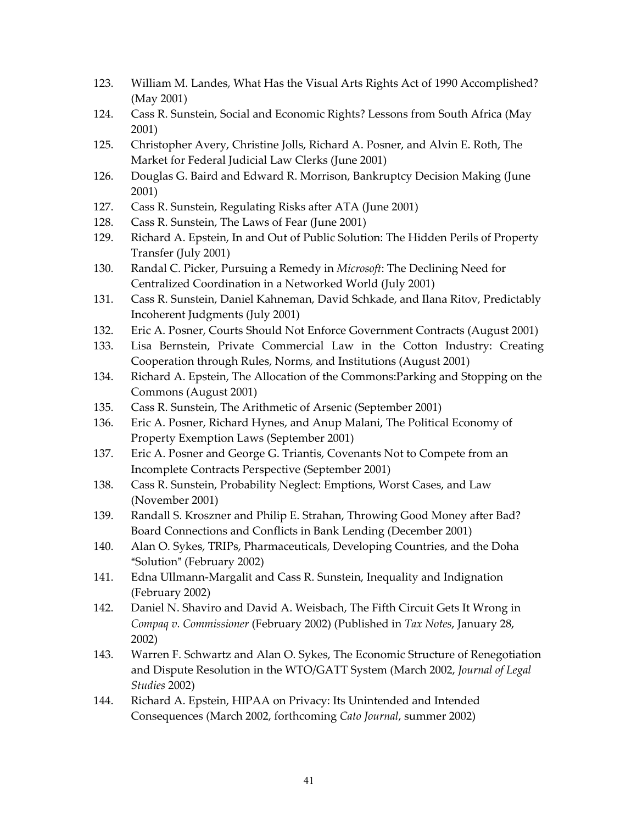- 123. William M. Landes, What Has the Visual Arts Rights Act of 1990 Accomplished? (May 2001)
- 124. Cass R. Sunstein, Social and Economic Rights? Lessons from South Africa (May 2001)
- 125. Christopher Avery, Christine Jolls, Richard A. Posner, and Alvin E. Roth, The Market for Federal Judicial Law Clerks (June 2001)
- 126. Douglas G. Baird and Edward R. Morrison, Bankruptcy Decision Making (June 2001)
- 127. Cass R. Sunstein, Regulating Risks after ATA (June 2001)
- 128. Cass R. Sunstein, The Laws of Fear (June 2001)
- 129. Richard A. Epstein, In and Out of Public Solution: The Hidden Perils of Property Transfer (July 2001)
- 130. Randal C. Picker, Pursuing a Remedy in *Microsoft*: The Declining Need for Centralized Coordination in a Networked World (July 2001)
- 131. Cass R. Sunstein, Daniel Kahneman, David Schkade, and Ilana Ritov, Predictably Incoherent Judgments (July 2001)
- 132. Eric A. Posner, Courts Should Not Enforce Government Contracts (August 2001)
- 133. Lisa Bernstein, Private Commercial Law in the Cotton Industry: Creating Cooperation through Rules, Norms, and Institutions (August 2001)
- 134. Richard A. Epstein, The Allocation of the Commons:Parking and Stopping on the Commons (August 2001)
- 135. Cass R. Sunstein, The Arithmetic of Arsenic (September 2001)
- 136. Eric A. Posner, Richard Hynes, and Anup Malani, The Political Economy of Property Exemption Laws (September 2001)
- 137. Eric A. Posner and George G. Triantis, Covenants Not to Compete from an Incomplete Contracts Perspective (September 2001)
- 138. Cass R. Sunstein, Probability Neglect: Emptions, Worst Cases, and Law (November 2001)
- 139. Randall S. Kroszner and Philip E. Strahan, Throwing Good Money after Bad? Board Connections and Conflicts in Bank Lending (December 2001)
- 140. Alan O. Sykes, TRIPs, Pharmaceuticals, Developing Countries, and the Doha "Solution" (February 2002)
- 141. Edna Ullmann-Margalit and Cass R. Sunstein, Inequality and Indignation (February 2002)
- 142. Daniel N. Shaviro and David A. Weisbach, The Fifth Circuit Gets It Wrong in *Compaq v. Commissioner* (February 2002) (Published in *Tax Notes*, January 28, 2002)
- 143. Warren F. Schwartz and Alan O. Sykes, The Economic Structure of Renegotiation and Dispute Resolution in the WTO/GATT System (March 2002, *Journal of Legal Studies* 2002)
- 144. Richard A. Epstein, HIPAA on Privacy: Its Unintended and Intended Consequences (March 2002, forthcoming *Cato Journal*, summer 2002)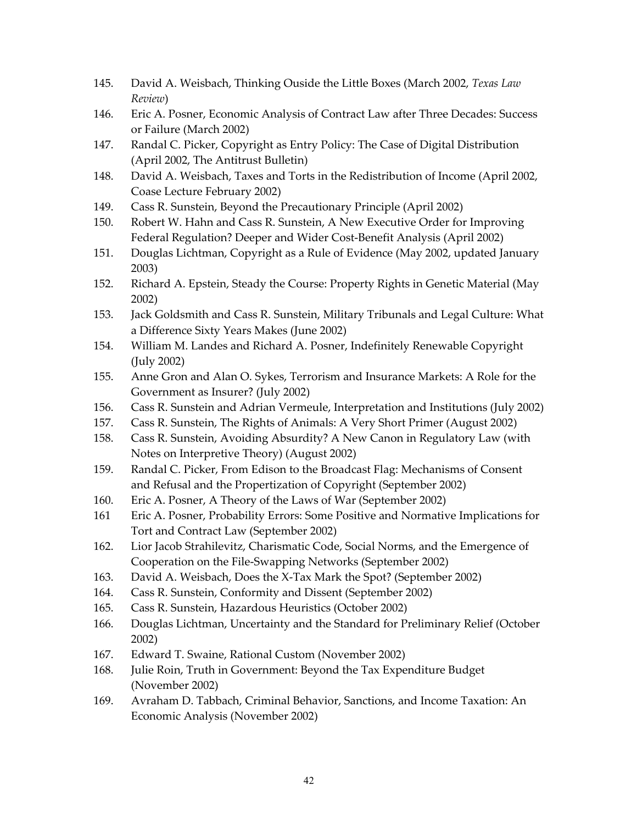- 145. David A. Weisbach, Thinking Ouside the Little Boxes (March 2002, *Texas Law Review*)
- 146. Eric A. Posner, Economic Analysis of Contract Law after Three Decades: Success or Failure (March 2002)
- 147. Randal C. Picker, Copyright as Entry Policy: The Case of Digital Distribution (April 2002, The Antitrust Bulletin)
- 148. David A. Weisbach, Taxes and Torts in the Redistribution of Income (April 2002, Coase Lecture February 2002)
- 149. Cass R. Sunstein, Beyond the Precautionary Principle (April 2002)
- 150. Robert W. Hahn and Cass R. Sunstein, A New Executive Order for Improving Federal Regulation? Deeper and Wider Cost-Benefit Analysis (April 2002)
- 151. Douglas Lichtman, Copyright as a Rule of Evidence (May 2002, updated January 2003)
- 152. Richard A. Epstein, Steady the Course: Property Rights in Genetic Material (May 2002)
- 153. Jack Goldsmith and Cass R. Sunstein, Military Tribunals and Legal Culture: What a Difference Sixty Years Makes (June 2002)
- 154. William M. Landes and Richard A. Posner, Indefinitely Renewable Copyright (July 2002)
- 155. Anne Gron and Alan O. Sykes, Terrorism and Insurance Markets: A Role for the Government as Insurer? (July 2002)
- 156. Cass R. Sunstein and Adrian Vermeule, Interpretation and Institutions (July 2002)
- 157. Cass R. Sunstein, The Rights of Animals: A Very Short Primer (August 2002)
- 158. Cass R. Sunstein, Avoiding Absurdity? A New Canon in Regulatory Law (with Notes on Interpretive Theory) (August 2002)
- 159. Randal C. Picker, From Edison to the Broadcast Flag: Mechanisms of Consent and Refusal and the Propertization of Copyright (September 2002)
- 160. Eric A. Posner, A Theory of the Laws of War (September 2002)
- 161 Eric A. Posner, Probability Errors: Some Positive and Normative Implications for Tort and Contract Law (September 2002)
- 162. Lior Jacob Strahilevitz, Charismatic Code, Social Norms, and the Emergence of Cooperation on the File-Swapping Networks (September 2002)
- 163. David A. Weisbach, Does the X-Tax Mark the Spot? (September 2002)
- 164. Cass R. Sunstein, Conformity and Dissent (September 2002)
- 165. Cass R. Sunstein, Hazardous Heuristics (October 2002)
- 166. Douglas Lichtman, Uncertainty and the Standard for Preliminary Relief (October 2002)
- 167. Edward T. Swaine, Rational Custom (November 2002)
- 168. Julie Roin, Truth in Government: Beyond the Tax Expenditure Budget (November 2002)
- 169. Avraham D. Tabbach, Criminal Behavior, Sanctions, and Income Taxation: An Economic Analysis (November 2002)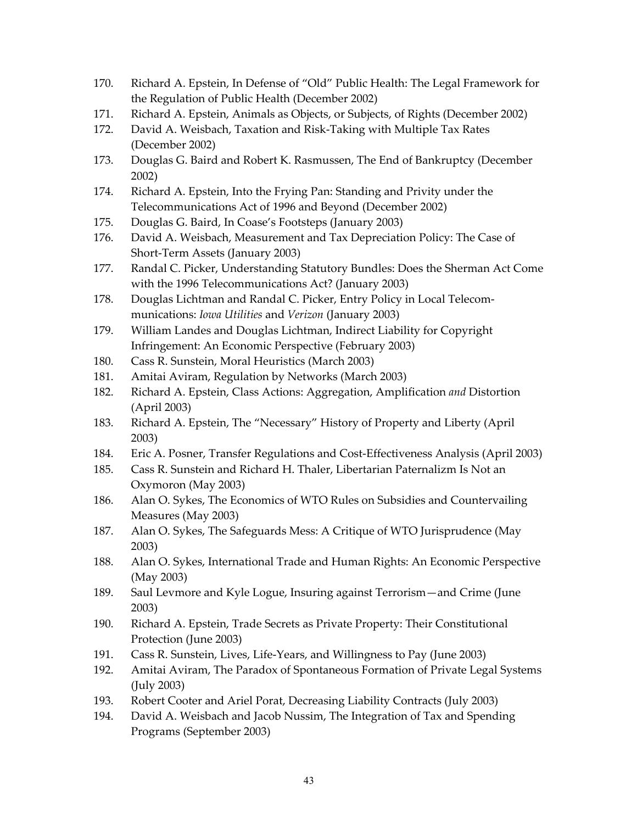- 170. Richard A. Epstein, In Defense of "Old" Public Health: The Legal Framework for the Regulation of Public Health (December 2002)
- 171. Richard A. Epstein, Animals as Objects, or Subjects, of Rights (December 2002)
- 172. David A. Weisbach, Taxation and Risk-Taking with Multiple Tax Rates (December 2002)
- 173. Douglas G. Baird and Robert K. Rasmussen, The End of Bankruptcy (December 2002)
- 174. Richard A. Epstein, Into the Frying Pan: Standing and Privity under the Telecommunications Act of 1996 and Beyond (December 2002)
- 175. Douglas G. Baird, In Coase's Footsteps (January 2003)
- 176. David A. Weisbach, Measurement and Tax Depreciation Policy: The Case of Short-Term Assets (January 2003)
- 177. Randal C. Picker, Understanding Statutory Bundles: Does the Sherman Act Come with the 1996 Telecommunications Act? (January 2003)
- 178. Douglas Lichtman and Randal C. Picker, Entry Policy in Local Telecommunications: *Iowa Utilities* and *Verizon* (January 2003)
- 179. William Landes and Douglas Lichtman, Indirect Liability for Copyright Infringement: An Economic Perspective (February 2003)
- 180. Cass R. Sunstein, Moral Heuristics (March 2003)
- 181. Amitai Aviram, Regulation by Networks (March 2003)
- 182. Richard A. Epstein, Class Actions: Aggregation, Amplification *and* Distortion (April 2003)
- 183. Richard A. Epstein, The "Necessary" History of Property and Liberty (April 2003)
- 184. Eric A. Posner, Transfer Regulations and Cost-Effectiveness Analysis (April 2003)
- 185. Cass R. Sunstein and Richard H. Thaler, Libertarian Paternalizm Is Not an Oxymoron (May 2003)
- 186. Alan O. Sykes, The Economics of WTO Rules on Subsidies and Countervailing Measures (May 2003)
- 187. Alan O. Sykes, The Safeguards Mess: A Critique of WTO Jurisprudence (May 2003)
- 188. Alan O. Sykes, International Trade and Human Rights: An Economic Perspective (May 2003)
- 189. Saul Levmore and Kyle Logue, Insuring against Terrorism—and Crime (June 2003)
- 190. Richard A. Epstein, Trade Secrets as Private Property: Their Constitutional Protection (June 2003)
- 191. Cass R. Sunstein, Lives, Life-Years, and Willingness to Pay (June 2003)
- 192. Amitai Aviram, The Paradox of Spontaneous Formation of Private Legal Systems (July 2003)
- 193. Robert Cooter and Ariel Porat, Decreasing Liability Contracts (July 2003)
- 194. David A. Weisbach and Jacob Nussim, The Integration of Tax and Spending Programs (September 2003)